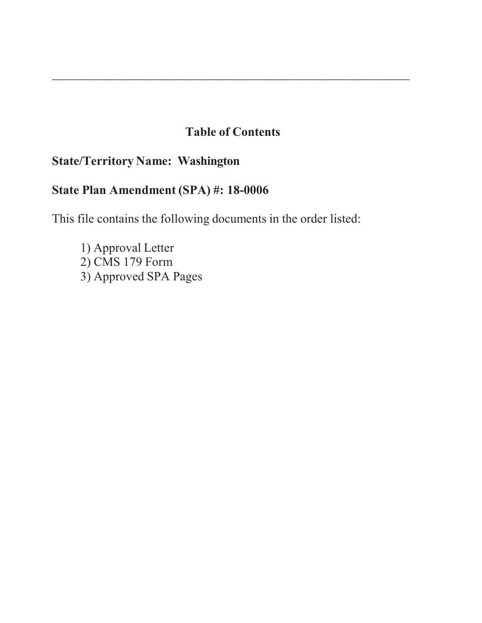# **Table of Contents**

\_\_\_\_\_\_\_\_\_\_\_\_\_\_\_\_\_\_\_\_\_\_\_\_\_\_\_\_\_\_\_\_\_\_\_\_\_\_\_\_\_\_\_\_\_\_\_\_\_\_\_\_\_\_\_\_\_\_\_\_\_\_\_\_\_\_\_\_\_\_\_\_\_\_\_\_\_\_\_\_\_\_\_

# **State/Territory Name: Washington**

# **State Plan Amendment (SPA) #: 18-0006**

This file contains the following documents in the order listed:

1) Approval Letter 2) CMS 179 Form 3) Approved SPA Pages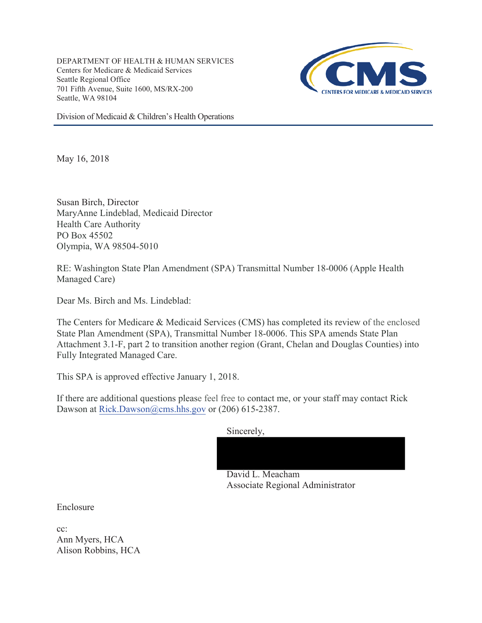DEPARTMENT OF HEALTH & HUMAN SERVICES Centers for Medicare & Medicaid Services Seattle Regional Office 701 Fifth Avenue, Suite 1600, MS/RX-200 Seattle, WA 98104



Division of Medicaid & Children's Health Operations

May 16, 2018

Susan Birch, Director MaryAnne Lindeblad, Medicaid Director Health Care Authority PO Box 45502 Olympia, WA 98504-5010

RE: Washington State Plan Amendment (SPA) Transmittal Number 18-0006 (Apple Health Managed Care)

Dear Ms. Birch and Ms. Lindeblad:

The Centers for Medicare & Medicaid Services (CMS) has completed its review of the enclosed State Plan Amendment (SPA), Transmittal Number 18-0006. This SPA amends State Plan Attachment 3.1-F, part 2 to transition another region (Grant, Chelan and Douglas Counties) into Fully Integrated Managed Care.

This SPA is approved effective January 1, 2018.

If there are additional questions please feel free to contact me, or your staff may contact Rick Dawson at Rick.Dawson@cms.hhs.gov or  $(206)$  615-2387.

Sincerely,



David L. Meacham Associate Regional Administrator

Enclosure

cc: Ann Myers, HCA Alison Robbins, HCA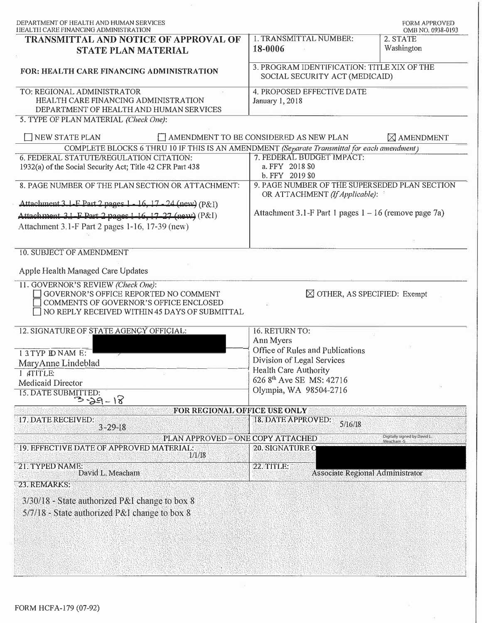| DEPARTMENT OF HEALTH AND HUMAN SERVICES<br>HEALTH CARE FINANCING ADMINISTRATION                                                                                        |                                                                                 | <b>FORM APPROVED</b><br>OMB NO. 0938-0193 |  |  |  |  |
|------------------------------------------------------------------------------------------------------------------------------------------------------------------------|---------------------------------------------------------------------------------|-------------------------------------------|--|--|--|--|
| TRANSMITTAL AND NOTICE OF APPROVAL OF<br><b>STATE PLAN MATERIAL</b>                                                                                                    | <b>I. TRANSMITTAL NUMBER:</b><br>18-0006                                        | 2. STATE<br>Washington                    |  |  |  |  |
| FOR: HEALTH CARE FINANCING ADMINISTRATION                                                                                                                              | 3. PROGRAM IDENTIFICATION: TITLE XIX OF THE<br>SOCIAL SECURITY ACT (MEDICAID)   |                                           |  |  |  |  |
| TO: REGIONAL ADMINISTRATOR<br>HEALTH CARE FINANCING ADMINISTRATION<br>DEPARTMENT OF HEALTH AND HUMAN SERVICES                                                          | 4. PROPOSED EFFECTIVE DATE<br><b>January 1, 2018</b>                            |                                           |  |  |  |  |
| 5. TYPE OF PLAN MATERIAL (Check One):                                                                                                                                  |                                                                                 |                                           |  |  |  |  |
| NEW STATE PLAN                                                                                                                                                         | AMENDMENT TO BE CONSIDERED AS NEW PLAN                                          | $\boxtimes$ AMENDMENT                     |  |  |  |  |
| COMPLETE BLOCKS 6 THRU 10 IF THIS IS AN AMENDMENT (Separate Transmittal for each amendment)                                                                            |                                                                                 |                                           |  |  |  |  |
| 6. FEDERAL STATUTE/REGULATION CITATION:                                                                                                                                | 7. FEDERAL BUDGET IMPACT:                                                       |                                           |  |  |  |  |
| 1932(a) of the Social Security Act; Title 42 CFR Part 438                                                                                                              | a. FFY 2018 \$0<br>b. FFY 2019 \$0                                              |                                           |  |  |  |  |
| 8. PAGE NUMBER OF THE PLAN SECTION OR ATTACHMENT:                                                                                                                      | 9. PAGE NUMBER OF THE SUPERSEDED PLAN SECTION<br>OR ATTACHMENT (If Applicable): |                                           |  |  |  |  |
| Attachment 3.1-F Part 2 pages 1 - 16, 17 - 24 (new) (P&I)                                                                                                              |                                                                                 |                                           |  |  |  |  |
| Attachment 3.1-F Part 2 pages 1-16, 17-27 (new) (P&I)                                                                                                                  | Attachment 3.1-F Part 1 pages $1 - 16$ (remove page 7a)                         |                                           |  |  |  |  |
| Attachment 3.1-F Part 2 pages 1-16, 17-39 (new)                                                                                                                        |                                                                                 |                                           |  |  |  |  |
| 10. SUBJECT OF AMENDMENT                                                                                                                                               |                                                                                 |                                           |  |  |  |  |
| Apple Health Managed Care Updates                                                                                                                                      |                                                                                 |                                           |  |  |  |  |
| 11. GOVERNOR'S REVIEW (Check One):<br>GOVERNOR'S OFFICE REPORTED NO COMMENT<br>COMMENTS OF GOVERNOR'S OFFICE ENCLOSED<br>NO REPLY RECEIVED WITHIN 45 DAYS OF SUBMITTAL | $\boxtimes$ OTHER, AS SPECIFIED: Exempt                                         |                                           |  |  |  |  |
| 12. SIGNATURE OF STATE AGENCY OFFICIAL:                                                                                                                                | 16. RETURN TO:<br>Ann Myers                                                     |                                           |  |  |  |  |
| 13TYP ID NAM E:                                                                                                                                                        | Office of Rules and Publications                                                |                                           |  |  |  |  |
| MaryAnne Lindeblad                                                                                                                                                     | Division of Legal Services                                                      |                                           |  |  |  |  |
| 1 ATITLE:                                                                                                                                                              | Health Care Authority                                                           |                                           |  |  |  |  |
| Medicaid Director                                                                                                                                                      | 626 8th Ave SE MS: 42716                                                        |                                           |  |  |  |  |
| 15. DATE SUBMITTED:<br>$3 - 29 - 18$                                                                                                                                   | Olympia, WA 98504-2716                                                          |                                           |  |  |  |  |
| FOR REGIONAL OFFICE USE ONLY                                                                                                                                           |                                                                                 |                                           |  |  |  |  |
| 17. DATE RECEIVED:                                                                                                                                                     | <b>18. DATE APPROVED:</b><br>5/16/18                                            |                                           |  |  |  |  |
| $3 - 29 - 18$                                                                                                                                                          |                                                                                 | Digitally signed by David L.              |  |  |  |  |
| PLAN APPROVED - ONE COPY ATTACHED<br>19. EFFECTIVE DATE OF APPROVED MATERIAL:<br>1/1/18                                                                                | <b>20. SIGNATURE O</b>                                                          | Meacham-S                                 |  |  |  |  |
| 21. TYPED NAME:<br>David L. Meacham                                                                                                                                    | 22. TITLE:<br>Associate Regional Administrator                                  |                                           |  |  |  |  |
| 23. REMARKS:                                                                                                                                                           |                                                                                 |                                           |  |  |  |  |
| 3/30/18 - State authorized P&I change to box 8                                                                                                                         |                                                                                 |                                           |  |  |  |  |
| 5/7/18 - State authorized P&I change to box 8                                                                                                                          |                                                                                 |                                           |  |  |  |  |
|                                                                                                                                                                        |                                                                                 |                                           |  |  |  |  |
|                                                                                                                                                                        |                                                                                 |                                           |  |  |  |  |
|                                                                                                                                                                        |                                                                                 |                                           |  |  |  |  |
|                                                                                                                                                                        |                                                                                 |                                           |  |  |  |  |
|                                                                                                                                                                        |                                                                                 |                                           |  |  |  |  |

 $\alpha$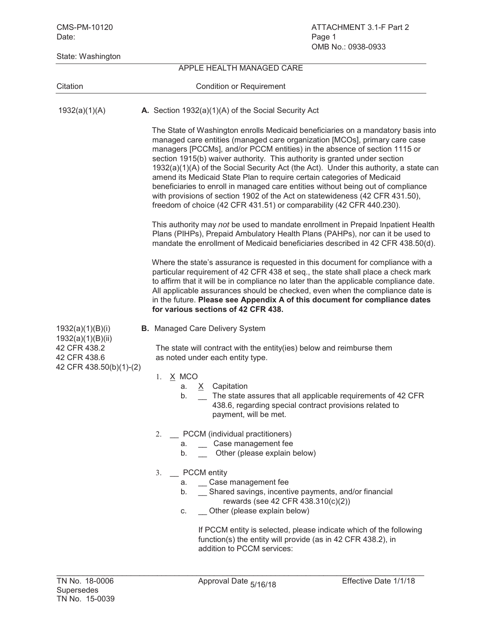CMS-PM-10120 ATTACHMENT 3.1-F Part 2 Date: Page 1 OMB No.: 0938-0933 State: Washington APPLE HEALTH MANAGED CARE Citation Citation Condition or Requirement 1932(a)(1)(A) **A.** Section 1932(a)(1)(A) of the Social Security Act The State of Washington enrolls Medicaid beneficiaries on a mandatory basis into managed care entities (managed care organization [MCOs], primary care case managers [PCCMs], and/or PCCM entities) in the absence of section 1115 or section 1915(b) waiver authority. This authority is granted under section 1932(a)(1)(A) of the Social Security Act (the Act). Under this authority, a state can amend its Medicaid State Plan to require certain categories of Medicaid beneficiaries to enroll in managed care entities without being out of compliance with provisions of section 1902 of the Act on statewideness (42 CFR 431.50), freedom of choice (42 CFR 431.51) or comparability (42 CFR 440.230). This authority may *not* be used to mandate enrollment in Prepaid Inpatient Health Plans (PIHPs), Prepaid Ambulatory Health Plans (PAHPs), nor can it be used to mandate the enrollment of Medicaid beneficiaries described in 42 CFR 438.50(d). Where the state's assurance is requested in this document for compliance with a particular requirement of 42 CFR 438 et seq., the state shall place a check mark to affirm that it will be in compliance no later than the applicable compliance date. All applicable assurances should be checked, even when the compliance date is in the future. **Please see Appendix A of this document for compliance dates for various sections of 42 CFR 438.** 1932(a)(1)(B)(i) **B.** Managed Care Delivery System 1932(a)(1)(B)(ii) 42 CFR 438.2 The state will contract with the entity(ies) below and reimburse them 42 CFR 438.6 as noted under each entity type. 42 CFR 438.50(b)(1)-(2) 1. **X MCO** a. X Capitation b. \_ The state assures that all applicable requirements of 42 CFR 438.6, regarding special contract provisions related to payment, will be met. 2. \_\_ PCCM (individual practitioners) a. Case management fee b. Other (please explain below) 3. PCCM entity a. Case management fee b. \_\_ Shared savings, incentive payments, and/or financial rewards (see 42 CFR 438.310(c)(2)) c. Other (please explain below) If PCCM entity is selected, please indicate which of the following function(s) the entity will provide (as in 42 CFR 438.2), in addition to PCCM services: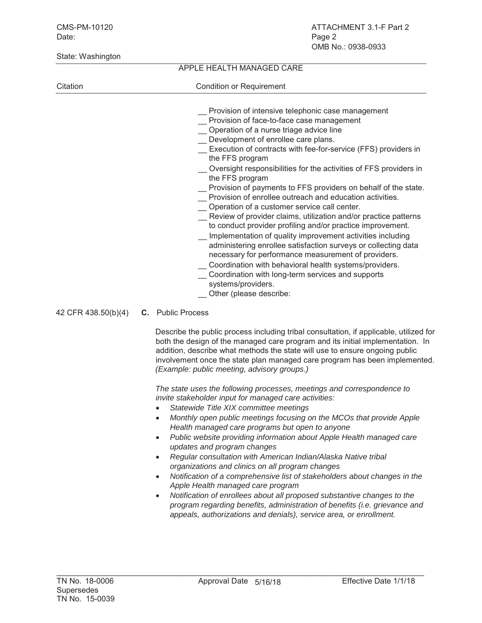# APPLE HEALTH MANAGED CARE

# Citation Citation Condition or Requirement

- \_\_ Provision of intensive telephonic case management
- \_\_ Provision of face-to-face case management
- Operation of a nurse triage advice line
- Development of enrollee care plans.
- Execution of contracts with fee-for-service (FFS) providers in the FFS program
- Oversight responsibilities for the activities of FFS providers in the FFS program
- Provision of payments to FFS providers on behalf of the state.
- \_\_ Provision of enrollee outreach and education activities.
- \_\_ Operation of a customer service call center.
- \_\_ Review of provider claims, utilization and/or practice patterns to conduct provider profiling and/or practice improvement.
- Implementation of quality improvement activities including administering enrollee satisfaction surveys or collecting data necessary for performance measurement of providers.
- Coordination with behavioral health systems/providers.
- \_\_ Coordination with long-term services and supports systems/providers.
- Other (please describe:
- 42 CFR 438.50(b)(4) **C.** Public Process

Describe the public process including tribal consultation, if applicable, utilized for both the design of the managed care program and its initial implementation. In addition, describe what methods the state will use to ensure ongoing public involvement once the state plan managed care program has been implemented. *(Example: public meeting, advisory groups.)*

*The state uses the following processes, meetings and correspondence to invite stakeholder input for managed care activities:*

- x *Statewide Title XIX committee meetings*
- x *Monthly open public meetings focusing on the MCOs that provide Apple Health managed care programs but open to anyone*
- x *Public website providing information about Apple Health managed care updates and program changes*
- x *Regular consultation with American Indian/Alaska Native tribal organizations and clinics on all program changes*
- x *Notification of a comprehensive list of stakeholders about changes in the Apple Health managed care program*
- x *Notification of enrollees about all proposed substantive changes to the program regarding benefits, administration of benefits (i.e. grievance and appeals, authorizations and denials), service area, or enrollment.*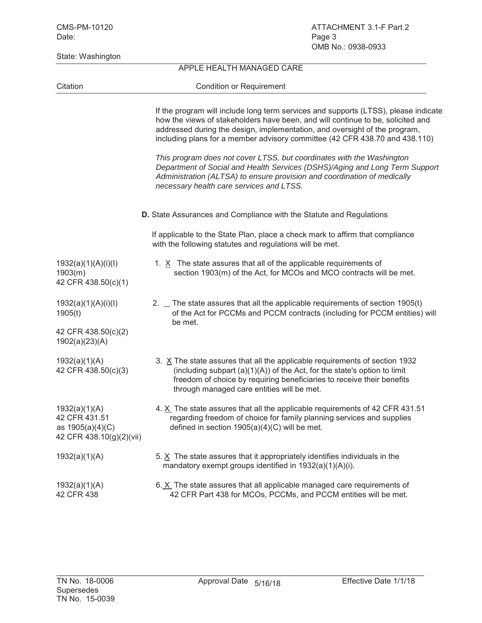| State: Washington                                                              |                                                                                                                                                                                                                                                                                                                                     |
|--------------------------------------------------------------------------------|-------------------------------------------------------------------------------------------------------------------------------------------------------------------------------------------------------------------------------------------------------------------------------------------------------------------------------------|
|                                                                                | APPLE HEALTH MANAGED CARE                                                                                                                                                                                                                                                                                                           |
| Citation                                                                       | <b>Condition or Requirement</b>                                                                                                                                                                                                                                                                                                     |
|                                                                                | If the program will include long term services and supports (LTSS), please indicate<br>how the views of stakeholders have been, and will continue to be, solicited and<br>addressed during the design, implementation, and oversight of the program,<br>including plans for a member advisory committee (42 CFR 438.70 and 438.110) |
|                                                                                | This program does not cover LTSS, but coordinates with the Washington<br>Department of Social and Health Services (DSHS)/Aging and Long Term Support<br>Administration (ALTSA) to ensure provision and coordination of medically<br>necessary health care services and LTSS.                                                        |
|                                                                                | D. State Assurances and Compliance with the Statute and Regulations                                                                                                                                                                                                                                                                 |
|                                                                                | If applicable to the State Plan, place a check mark to affirm that compliance<br>with the following statutes and regulations will be met.                                                                                                                                                                                           |
| 1932(a)(1)(A)(i)(I)<br>1903(m)<br>42 CFR 438.50(c)(1)                          | 1. $X$ The state assures that all of the applicable requirements of<br>section 1903(m) of the Act, for MCOs and MCO contracts will be met.                                                                                                                                                                                          |
| 1932(a)(1)(A)(i)(I)<br>1905(t)                                                 | 2. The state assures that all the applicable requirements of section 1905(t)<br>of the Act for PCCMs and PCCM contracts (including for PCCM entities) will<br>be met.                                                                                                                                                               |
| 42 CFR 438.50(c)(2)<br>1902(a)(23)(A)                                          |                                                                                                                                                                                                                                                                                                                                     |
| 1932(a)(1)(A)<br>42 CFR 438.50(c)(3)                                           | 3. $X$ The state assures that all the applicable requirements of section 1932<br>(including subpart $(a)(1)(A)$ ) of the Act, for the state's option to limit<br>freedom of choice by requiring beneficiaries to receive their benefits<br>through managed care entities will be met.                                               |
| 1932(a)(1)(A)<br>42 CFR 431.51<br>as 1905(a)(4)(C)<br>42 CFR 438.10(g)(2)(vii) | 4. X The state assures that all the applicable requirements of 42 CFR 431.51<br>regarding freedom of choice for family planning services and supplies<br>defined in section $1905(a)(4)(C)$ will be met.                                                                                                                            |
| 1932(a)(1)(A)                                                                  | 5. X The state assures that it appropriately identifies individuals in the<br>mandatory exempt groups identified in 1932(a)(1)(A)(i).                                                                                                                                                                                               |
| 1932(a)(1)(A)<br>42 CFR 438                                                    | 6. X The state assures that all applicable managed care requirements of<br>42 CFR Part 438 for MCOs, PCCMs, and PCCM entities will be met.                                                                                                                                                                                          |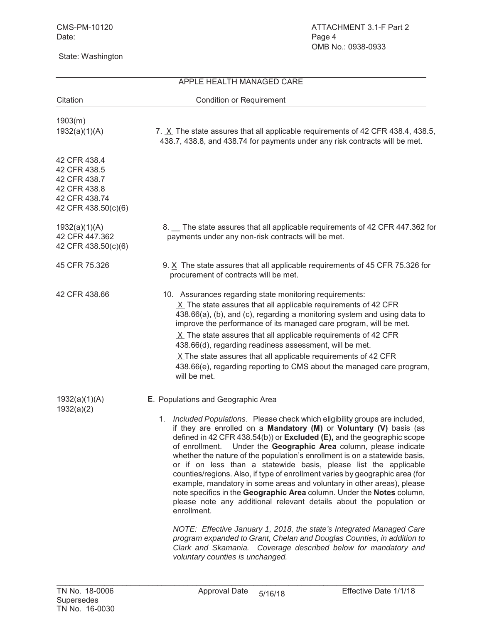|                                                                                                      | APPLE HEALTH MANAGED CARE                                                                                                                                                                                                                                                                                                                                                                                                                                                                                                                                                                                                                                                                                                                                                                                                                                                                                                                                                                                                                                                            |
|------------------------------------------------------------------------------------------------------|--------------------------------------------------------------------------------------------------------------------------------------------------------------------------------------------------------------------------------------------------------------------------------------------------------------------------------------------------------------------------------------------------------------------------------------------------------------------------------------------------------------------------------------------------------------------------------------------------------------------------------------------------------------------------------------------------------------------------------------------------------------------------------------------------------------------------------------------------------------------------------------------------------------------------------------------------------------------------------------------------------------------------------------------------------------------------------------|
| Citation                                                                                             | <b>Condition or Requirement</b>                                                                                                                                                                                                                                                                                                                                                                                                                                                                                                                                                                                                                                                                                                                                                                                                                                                                                                                                                                                                                                                      |
| 1903(m)<br>1932(a)(1)(A)                                                                             | 7. X The state assures that all applicable requirements of 42 CFR 438.4, 438.5,<br>438.7, 438.8, and 438.74 for payments under any risk contracts will be met.                                                                                                                                                                                                                                                                                                                                                                                                                                                                                                                                                                                                                                                                                                                                                                                                                                                                                                                       |
| 42 CFR 438.4<br>42 CFR 438.5<br>42 CFR 438.7<br>42 CFR 438.8<br>42 CFR 438.74<br>42 CFR 438.50(c)(6) |                                                                                                                                                                                                                                                                                                                                                                                                                                                                                                                                                                                                                                                                                                                                                                                                                                                                                                                                                                                                                                                                                      |
| 1932(a)(1)(A)<br>42 CFR 447.362<br>42 CFR 438.50(c)(6)                                               | 8. The state assures that all applicable requirements of 42 CFR 447.362 for<br>payments under any non-risk contracts will be met.                                                                                                                                                                                                                                                                                                                                                                                                                                                                                                                                                                                                                                                                                                                                                                                                                                                                                                                                                    |
| 45 CFR 75.326                                                                                        | 9. X The state assures that all applicable requirements of 45 CFR 75.326 for<br>procurement of contracts will be met.                                                                                                                                                                                                                                                                                                                                                                                                                                                                                                                                                                                                                                                                                                                                                                                                                                                                                                                                                                |
| 42 CFR 438.66                                                                                        | 10. Assurances regarding state monitoring requirements:<br>$X$ The state assures that all applicable requirements of 42 CFR<br>438.66(a), (b), and (c), regarding a monitoring system and using data to<br>improve the performance of its managed care program, will be met.<br>$X$ The state assures that all applicable requirements of 42 CFR<br>438.66(d), regarding readiness assessment, will be met.<br>$X$ The state assures that all applicable requirements of 42 CFR<br>438.66(e), regarding reporting to CMS about the managed care program,<br>will be met.                                                                                                                                                                                                                                                                                                                                                                                                                                                                                                             |
| 1932(a)(1)(A)<br>1932(a)(2)                                                                          | E. Populations and Geographic Area<br>1. Included Populations. Please check which eligibility groups are included,<br>if they are enrolled on a Mandatory (M) or Voluntary (V) basis (as<br>defined in 42 CFR 438.54(b)) or <b>Excluded (E)</b> , and the geographic scope<br>Under the Geographic Area column, please indicate<br>of enrollment.<br>whether the nature of the population's enrollment is on a statewide basis,<br>or if on less than a statewide basis, please list the applicable<br>counties/regions. Also, if type of enrollment varies by geographic area (for<br>example, mandatory in some areas and voluntary in other areas), please<br>note specifics in the Geographic Area column. Under the Notes column,<br>please note any additional relevant details about the population or<br>enrollment.<br>NOTE: Effective January 1, 2018, the state's Integrated Managed Care<br>program expanded to Grant, Chelan and Douglas Counties, in addition to<br>Clark and Skamania. Coverage described below for mandatory and<br>voluntary counties is unchanged. |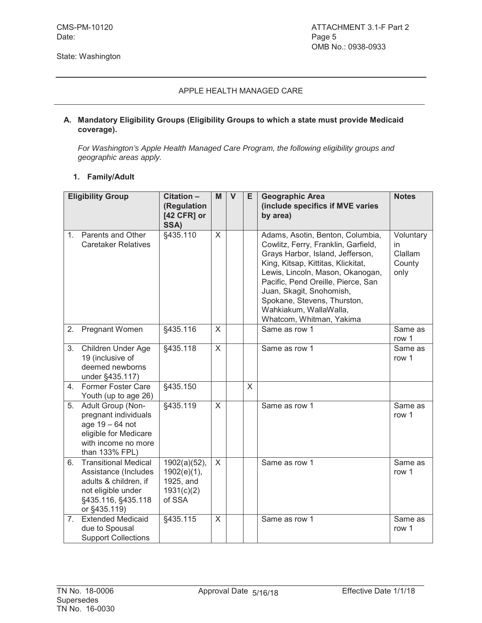#### **A. Mandatory Eligibility Groups (Eligibility Groups to which a state must provide Medicaid coverage).**

*For Washington's Apple Health Managed Care Program, the following eligibility groups and geographic areas apply.*

#### **1. Family/Adult**

|             | <b>Eligibility Group</b>                                                                                                                 | Citation -<br>(Regulation                                        | M            | $\mathsf{V}$ | Е       | <b>Geographic Area</b><br>(include specifics if MVE varies                                                                                                                                                                                                                                                                                   | <b>Notes</b>                                 |
|-------------|------------------------------------------------------------------------------------------------------------------------------------------|------------------------------------------------------------------|--------------|--------------|---------|----------------------------------------------------------------------------------------------------------------------------------------------------------------------------------------------------------------------------------------------------------------------------------------------------------------------------------------------|----------------------------------------------|
|             |                                                                                                                                          | [42 CFR] or<br>SSA)                                              |              |              |         | by area)                                                                                                                                                                                                                                                                                                                                     |                                              |
| $1_{\cdot}$ | Parents and Other<br><b>Caretaker Relatives</b>                                                                                          | §435.110                                                         | X            |              |         | Adams, Asotin, Benton, Columbia,<br>Cowlitz, Ferry, Franklin, Garfield,<br>Grays Harbor, Island, Jefferson,<br>King, Kitsap, Kittitas, Klickitat,<br>Lewis, Lincoln, Mason, Okanogan,<br>Pacific, Pend Oreille, Pierce, San<br>Juan, Skagit, Snohomish,<br>Spokane, Stevens, Thurston,<br>Wahkiakum, WallaWalla,<br>Whatcom, Whitman, Yakima | Voluntary<br>in<br>Clallam<br>County<br>only |
| 2.          | <b>Pregnant Women</b>                                                                                                                    | §435.116                                                         | $\mathsf{X}$ |              |         | Same as row 1                                                                                                                                                                                                                                                                                                                                | Same as<br>row 1                             |
| 3.          | Children Under Age<br>19 (inclusive of<br>deemed newborns<br>under §435.117)                                                             | §435.118                                                         | X            |              |         | Same as row 1                                                                                                                                                                                                                                                                                                                                | Same as<br>row 1                             |
| 4.          | Former Foster Care<br>Youth (up to age 26)                                                                                               | §435.150                                                         |              |              | $\sf X$ |                                                                                                                                                                                                                                                                                                                                              |                                              |
| 5.          | Adult Group (Non-<br>pregnant individuals<br>age 19 - 64 not<br>eligible for Medicare<br>with income no more<br>than 133% FPL)           | §435.119                                                         | $\mathsf{X}$ |              |         | Same as row 1                                                                                                                                                                                                                                                                                                                                | Same as<br>row 1                             |
| 6.          | <b>Transitional Medical</b><br>Assistance (Includes<br>adults & children, if<br>not eligible under<br>§435.116, §435.118<br>or §435.119) | 1902(a)(52),<br>1902(e)(1),<br>1925, and<br>1931(c)(2)<br>of SSA | $\sf X$      |              |         | Same as row 1                                                                                                                                                                                                                                                                                                                                | Same as<br>row 1                             |
| 7.          | <b>Extended Medicaid</b><br>due to Spousal<br><b>Support Collections</b>                                                                 | §435.115                                                         | X            |              |         | Same as row 1                                                                                                                                                                                                                                                                                                                                | Same as<br>row 1                             |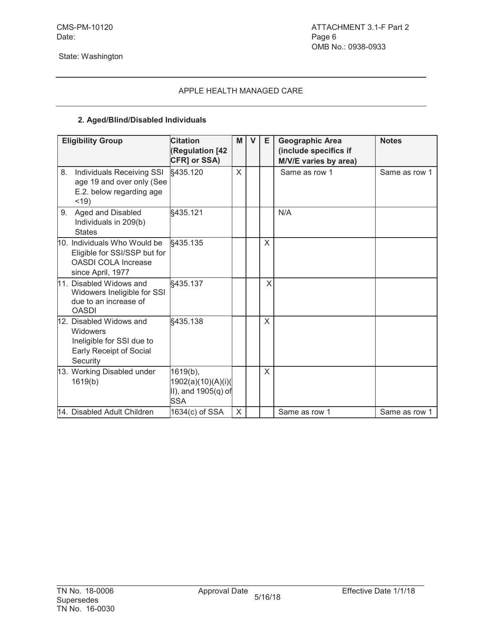# **2. Aged/Blind/Disabled Individuals**

|    | <b>Eligibility Group</b>                                                                                        | <b>Citation</b><br><b>Regulation [42</b><br>CFR] or SSA)            | M | $\mathbf{V}$ | E. | <b>Geographic Area</b><br>(include specifics if<br>M/V/E varies by area) | <b>Notes</b>  |
|----|-----------------------------------------------------------------------------------------------------------------|---------------------------------------------------------------------|---|--------------|----|--------------------------------------------------------------------------|---------------|
| 8. | Individuals Receiving SSI<br>age 19 and over only (See<br>E.2. below regarding age<br>$<$ 19)                   | §435.120                                                            | X |              |    | Same as row 1                                                            | Same as row 1 |
| 9. | Aged and Disabled<br>Individuals in 209(b)<br><b>States</b>                                                     | §435.121                                                            |   |              |    | N/A                                                                      |               |
|    | 10. Individuals Who Would be<br>Eligible for SSI/SSP but for<br><b>OASDI COLA Increase</b><br>since April, 1977 | §435.135                                                            |   |              | X  |                                                                          |               |
|    | 11. Disabled Widows and<br>Widowers Ineligible for SSI<br>due to an increase of<br><b>OASDI</b>                 | §435.137                                                            |   |              | X  |                                                                          |               |
|    | 12. Disabled Widows and<br><b>Widowers</b><br>Ineligible for SSI due to<br>Early Receipt of Social<br>Security  | §435.138                                                            |   |              | X  |                                                                          |               |
|    | 13. Working Disabled under<br>1619(b)                                                                           | 1619(b),<br>1902(a)(10)(A)(i)(<br>II), and 1905(q) of<br><b>SSA</b> |   |              | X  |                                                                          |               |
|    | 14. Disabled Adult Children                                                                                     | 1634(c) of SSA                                                      | X |              |    | Same as row 1                                                            | Same as row 1 |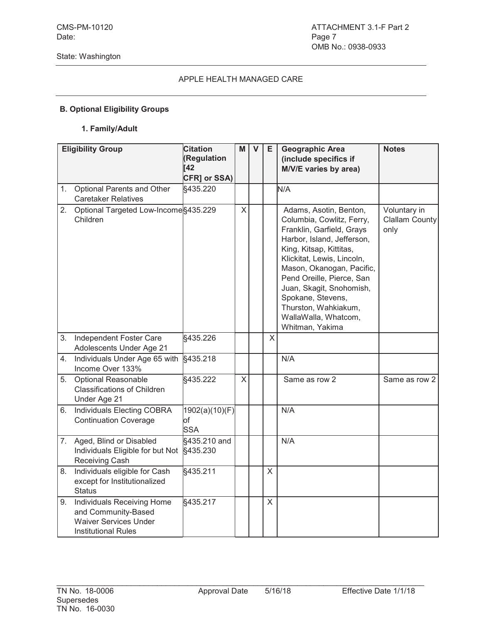# **B. Optional Eligibility Groups**

#### **1. Family/Adult**

|    | <b>Eligibility Group</b>                                                                                        | <b>Citation</b><br>(Regulation<br>[42] | M       | $\mathbf{V}$ | E | <b>Geographic Area</b><br>(include specifics if<br>M/V/E varies by area)                                                                                                                                                                                                                                                                              | <b>Notes</b>                                  |
|----|-----------------------------------------------------------------------------------------------------------------|----------------------------------------|---------|--------------|---|-------------------------------------------------------------------------------------------------------------------------------------------------------------------------------------------------------------------------------------------------------------------------------------------------------------------------------------------------------|-----------------------------------------------|
| 1. | Optional Parents and Other                                                                                      | CFR] or SSA)<br>§435.220               |         |              |   | N/A                                                                                                                                                                                                                                                                                                                                                   |                                               |
|    | <b>Caretaker Relatives</b>                                                                                      |                                        |         |              |   |                                                                                                                                                                                                                                                                                                                                                       |                                               |
| 2. | Optional Targeted Low-Income §435.229<br>Children                                                               |                                        | X       |              |   | Adams, Asotin, Benton,<br>Columbia, Cowlitz, Ferry,<br>Franklin, Garfield, Grays<br>Harbor, Island, Jefferson,<br>King, Kitsap, Kittitas,<br>Klickitat, Lewis, Lincoln,<br>Mason, Okanogan, Pacific,<br>Pend Oreille, Pierce, San<br>Juan, Skagit, Snohomish,<br>Spokane, Stevens,<br>Thurston, Wahkiakum,<br>WallaWalla, Whatcom,<br>Whitman, Yakima | Voluntary in<br><b>Clallam County</b><br>only |
| 3. | Independent Foster Care<br>Adolescents Under Age 21                                                             | §435.226                               |         |              | X |                                                                                                                                                                                                                                                                                                                                                       |                                               |
| 4. | Individuals Under Age 65 with<br>Income Over 133%                                                               | §435.218                               |         |              |   | N/A                                                                                                                                                                                                                                                                                                                                                   |                                               |
| 5. | <b>Optional Reasonable</b><br><b>Classifications of Children</b><br>Under Age 21                                | §435.222                               | $\sf X$ |              |   | Same as row 2                                                                                                                                                                                                                                                                                                                                         | Same as row 2                                 |
| 6. | <b>Individuals Electing COBRA</b><br><b>Continuation Coverage</b>                                               | 1902(a)(10)(F)<br>lof<br><b>SSA</b>    |         |              |   | N/A                                                                                                                                                                                                                                                                                                                                                   |                                               |
| 7. | Aged, Blind or Disabled<br>Individuals Eligible for but Not<br><b>Receiving Cash</b>                            | §435.210 and<br>§435.230               |         |              |   | N/A                                                                                                                                                                                                                                                                                                                                                   |                                               |
| 8. | Individuals eligible for Cash<br>except for Institutionalized<br><b>Status</b>                                  | §435.211                               |         |              | X |                                                                                                                                                                                                                                                                                                                                                       |                                               |
| 9. | Individuals Receiving Home<br>and Community-Based<br><b>Waiver Services Under</b><br><b>Institutional Rules</b> | §435.217                               |         |              | X |                                                                                                                                                                                                                                                                                                                                                       |                                               |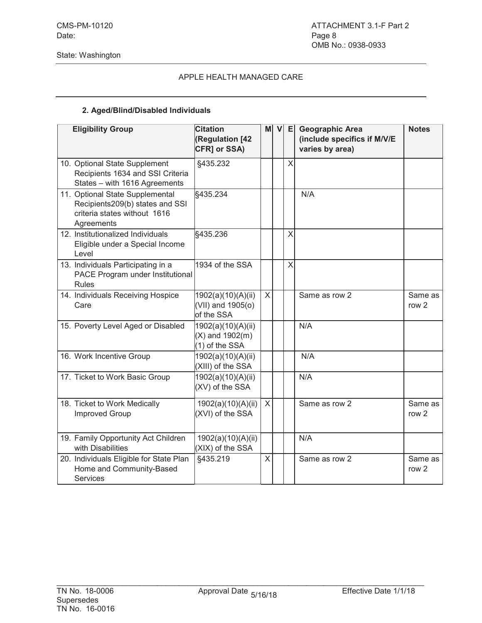# **2. Aged/Blind/Disabled Individuals**

| <b>Eligibility Group</b>                                                                                         | <b>Citation</b><br>(Regulation [42<br>CFR] or SSA)           | мI           | $\mathsf{v}$ | E                       | <b>Geographic Area</b><br>(include specifics if M/V/E<br>varies by area) | <b>Notes</b>                |
|------------------------------------------------------------------------------------------------------------------|--------------------------------------------------------------|--------------|--------------|-------------------------|--------------------------------------------------------------------------|-----------------------------|
| 10. Optional State Supplement<br>Recipients 1634 and SSI Criteria<br>States - with 1616 Agreements               | §435.232                                                     |              |              | X                       |                                                                          |                             |
| 11. Optional State Supplemental<br>Recipients209(b) states and SSI<br>criteria states without 1616<br>Agreements | §435.234                                                     |              |              |                         | N/A                                                                      |                             |
| 12. Institutionalized Individuals<br>Eligible under a Special Income<br>Level                                    | §435.236                                                     |              |              | $\overline{\mathsf{X}}$ |                                                                          |                             |
| 13. Individuals Participating in a<br>PACE Program under Institutional<br>Rules                                  | 1934 of the SSA                                              |              |              | X                       |                                                                          |                             |
| 14. Individuals Receiving Hospice<br>Care                                                                        | 1902(a)(10)(A)(ii)<br>(VII) and 1905(o)<br>of the SSA        | $\mathsf{X}$ |              |                         | Same as row 2                                                            | Same as<br>row <sub>2</sub> |
| 15. Poverty Level Aged or Disabled                                                                               | 1902(a)(10)(A)(ii)<br>$(X)$ and 1902 $(m)$<br>(1) of the SSA |              |              |                         | N/A                                                                      |                             |
| 16. Work Incentive Group                                                                                         | 1902(a)(10)(A)(ii)<br>(XIII) of the SSA                      |              |              |                         | N/A                                                                      |                             |
| 17. Ticket to Work Basic Group                                                                                   | 1902(a)(10)(A)(ii)<br>(XV) of the SSA                        |              |              |                         | N/A                                                                      |                             |
| 18. Ticket to Work Medically<br><b>Improved Group</b>                                                            | 1902(a)(10)(A)(ii)<br>(XVI) of the SSA                       | $\mathsf{X}$ |              |                         | Same as row 2                                                            | Same as<br>row <sub>2</sub> |
| 19. Family Opportunity Act Children<br>with Disabilities                                                         | 1902(a)(10)(A)(ii)<br>(XIX) of the SSA                       |              |              |                         | N/A                                                                      |                             |
| 20. Individuals Eligible for State Plan<br>Home and Community-Based<br><b>Services</b>                           | §435.219                                                     | X            |              |                         | Same as row 2                                                            | Same as<br>row <sub>2</sub> |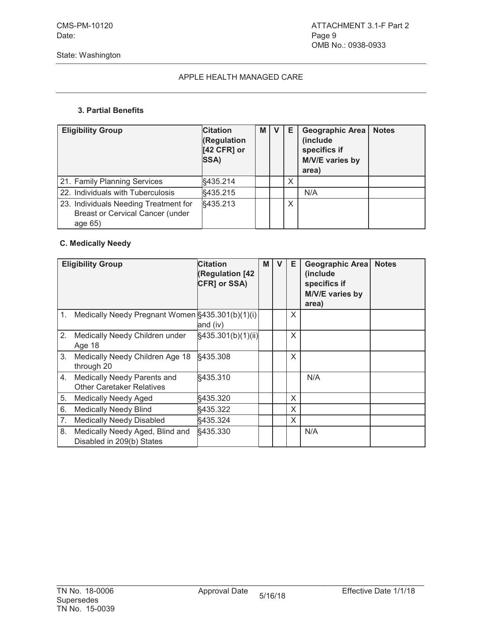#### **3. Partial Benefits**

| <b>Eligibility Group</b>                                                                    | <b>Citation</b><br><b>Regulation</b><br>[42 CFR] or<br>SSA) | M I | v | Е | <b>Geographic Area</b><br>(include<br>specifics if<br>M/V/E varies by<br>area) | <b>Notes</b> |
|---------------------------------------------------------------------------------------------|-------------------------------------------------------------|-----|---|---|--------------------------------------------------------------------------------|--------------|
| 21. Family Planning Services                                                                | §435.214                                                    |     |   | X |                                                                                |              |
| 22. Individuals with Tuberculosis                                                           | §435.215                                                    |     |   |   | N/A                                                                            |              |
| 23. Individuals Needing Treatment for<br><b>Breast or Cervical Cancer (under</b><br>age 65) | §435.213                                                    |     |   | Χ |                                                                                |              |

# **C. Medically Needy**

|    | <b>Eligibility Group</b>                                        | <b>Citation</b><br><b>(Regulation [42</b><br>CFR] or SSA) | M | v | Е | Geographic Area<br>(include)<br>specifics if<br>M/V/E varies by<br>area) | <b>Notes</b> |
|----|-----------------------------------------------------------------|-----------------------------------------------------------|---|---|---|--------------------------------------------------------------------------|--------------|
|    | 1. Medically Needy Pregnant Women §435.301(b)(1)(i)             | and (iv)                                                  |   |   | X |                                                                          |              |
| 2. | Medically Needy Children under<br>Age 18                        | §435.301(b)(1)(ii)                                        |   |   | X |                                                                          |              |
| 3. | Medically Needy Children Age 18<br>through 20                   | §435.308                                                  |   |   | X |                                                                          |              |
| 4. | Medically Needy Parents and<br><b>Other Caretaker Relatives</b> | §435.310                                                  |   |   |   | N/A                                                                      |              |
| 5. | <b>Medically Needy Aged</b>                                     | §435.320                                                  |   |   | X |                                                                          |              |
| 6. | <b>Medically Needy Blind</b>                                    | §435.322                                                  |   |   | X |                                                                          |              |
| 7. | <b>Medically Needy Disabled</b>                                 | §435.324                                                  |   |   | X |                                                                          |              |
| 8. | Medically Needy Aged, Blind and<br>Disabled in 209(b) States    | §435.330                                                  |   |   |   | N/A                                                                      |              |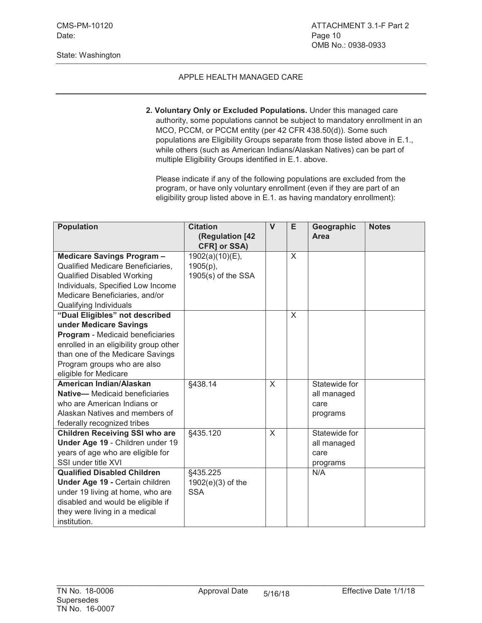# APPLE HEALTH MANAGED CARE

**2. Voluntary Only or Excluded Populations.** Under this managed care authority, some populations cannot be subject to mandatory enrollment in an MCO, PCCM, or PCCM entity (per 42 CFR 438.50(d)). Some such populations are Eligibility Groups separate from those listed above in E.1., while others (such as American Indians/Alaskan Natives) can be part of multiple Eligibility Groups identified in E.1. above.

Please indicate if any of the following populations are excluded from the program, or have only voluntary enrollment (even if they are part of an eligibility group listed above in E.1. as having mandatory enrollment):

| <b>Population</b>                      | <b>Citation</b>      | $\mathsf{V}$ | E        | Geographic    | <b>Notes</b> |
|----------------------------------------|----------------------|--------------|----------|---------------|--------------|
|                                        | (Regulation [42      |              |          | Area          |              |
|                                        | CFR] or SSA)         |              |          |               |              |
| Medicare Savings Program -             | 1902(a)(10)(E),      |              | X        |               |              |
| Qualified Medicare Beneficiaries,      | $1905(p)$ ,          |              |          |               |              |
| <b>Qualified Disabled Working</b>      | $1905(s)$ of the SSA |              |          |               |              |
| Individuals, Specified Low Income      |                      |              |          |               |              |
| Medicare Beneficiaries, and/or         |                      |              |          |               |              |
| Qualifying Individuals                 |                      |              |          |               |              |
| "Dual Eligibles" not described         |                      |              | $\times$ |               |              |
| under Medicare Savings                 |                      |              |          |               |              |
| Program - Medicaid beneficiaries       |                      |              |          |               |              |
| enrolled in an eligibility group other |                      |              |          |               |              |
| than one of the Medicare Savings       |                      |              |          |               |              |
| Program groups who are also            |                      |              |          |               |              |
| eligible for Medicare                  |                      |              |          |               |              |
| American Indian/Alaskan                | §438.14              | $\sf X$      |          | Statewide for |              |
| <b>Native-</b> Medicaid beneficiaries  |                      |              |          | all managed   |              |
| who are American Indians or            |                      |              |          | care          |              |
| Alaskan Natives and members of         |                      |              |          | programs      |              |
| federally recognized tribes            |                      |              |          |               |              |
| <b>Children Receiving SSI who are</b>  | §435.120             | $\times$     |          | Statewide for |              |
| Under Age 19 - Children under 19       |                      |              |          | all managed   |              |
| years of age who are eligible for      |                      |              |          | care          |              |
| SSI under title XVI                    |                      |              |          | programs      |              |
| <b>Qualified Disabled Children</b>     | §435.225             |              |          | N/A           |              |
| Under Age 19 - Certain children        | $1902(e)(3)$ of the  |              |          |               |              |
| under 19 living at home, who are       | <b>SSA</b>           |              |          |               |              |
| disabled and would be eligible if      |                      |              |          |               |              |
| they were living in a medical          |                      |              |          |               |              |
| institution.                           |                      |              |          |               |              |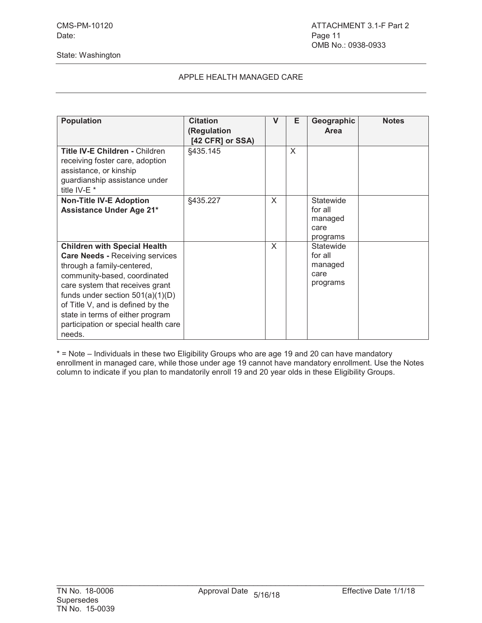# APPLE HEALTH MANAGED CARE

| <b>Population</b>                                                                                                                                                                                                                                                                                                                               | <b>Citation</b><br>(Regulation<br>[42 CFR] or SSA) | V | Е | Geographic<br>Area                                  | <b>Notes</b> |
|-------------------------------------------------------------------------------------------------------------------------------------------------------------------------------------------------------------------------------------------------------------------------------------------------------------------------------------------------|----------------------------------------------------|---|---|-----------------------------------------------------|--------------|
| <b>Title IV-E Children - Children</b><br>receiving foster care, adoption<br>assistance, or kinship<br>guardianship assistance under<br>title IV-E *                                                                                                                                                                                             | §435.145                                           |   | X |                                                     |              |
| <b>Non-Title IV-E Adoption</b><br><b>Assistance Under Age 21*</b>                                                                                                                                                                                                                                                                               | §435.227                                           | X |   | Statewide<br>for all<br>managed<br>care<br>programs |              |
| <b>Children with Special Health</b><br><b>Care Needs - Receiving services</b><br>through a family-centered,<br>community-based, coordinated<br>care system that receives grant<br>funds under section $501(a)(1)(D)$<br>of Title V, and is defined by the<br>state in terms of either program<br>participation or special health care<br>needs. |                                                    | X |   | Statewide<br>for all<br>managed<br>care<br>programs |              |

\* = Note – Individuals in these two Eligibility Groups who are age 19 and 20 can have mandatory enrollment in managed care, while those under age 19 cannot have mandatory enrollment. Use the Notes column to indicate if you plan to mandatorily enroll 19 and 20 year olds in these Eligibility Groups.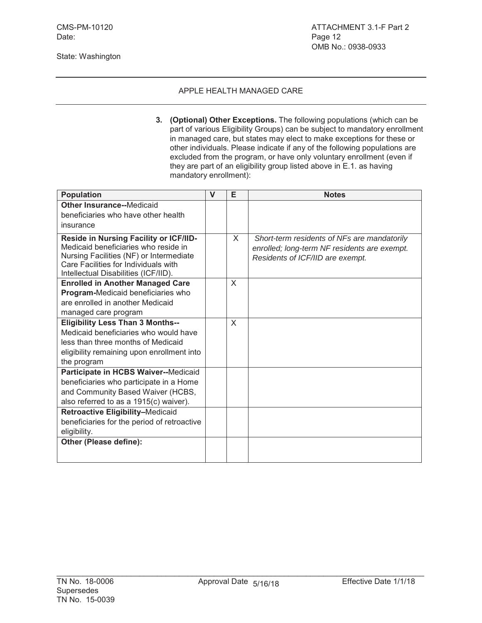**3. (Optional) Other Exceptions.** The following populations (which can be part of various Eligibility Groups) can be subject to mandatory enrollment in managed care, but states may elect to make exceptions for these or other individuals. Please indicate if any of the following populations are excluded from the program, or have only voluntary enrollment (even if they are part of an eligibility group listed above in E.1. as having mandatory enrollment):

| <b>Population</b>                                                                                                                                                                                         | $\mathsf{V}$ | E | <b>Notes</b>                                                                                                                    |
|-----------------------------------------------------------------------------------------------------------------------------------------------------------------------------------------------------------|--------------|---|---------------------------------------------------------------------------------------------------------------------------------|
| <b>Other Insurance--Medicaid</b><br>beneficiaries who have other health                                                                                                                                   |              |   |                                                                                                                                 |
| insurance                                                                                                                                                                                                 |              |   |                                                                                                                                 |
| Reside in Nursing Facility or ICF/IID-<br>Medicaid beneficiaries who reside in<br>Nursing Facilities (NF) or Intermediate<br>Care Facilities for Individuals with<br>Intellectual Disabilities (ICF/IID). |              | X | Short-term residents of NFs are mandatorily<br>enrolled; long-term NF residents are exempt.<br>Residents of ICF/IID are exempt. |
| <b>Enrolled in Another Managed Care</b>                                                                                                                                                                   |              | X |                                                                                                                                 |
| Program-Medicaid beneficiaries who                                                                                                                                                                        |              |   |                                                                                                                                 |
| are enrolled in another Medicaid                                                                                                                                                                          |              |   |                                                                                                                                 |
| managed care program                                                                                                                                                                                      |              |   |                                                                                                                                 |
| <b>Eligibility Less Than 3 Months--</b>                                                                                                                                                                   |              | X |                                                                                                                                 |
| Medicaid beneficiaries who would have                                                                                                                                                                     |              |   |                                                                                                                                 |
| less than three months of Medicaid                                                                                                                                                                        |              |   |                                                                                                                                 |
| eligibility remaining upon enrollment into                                                                                                                                                                |              |   |                                                                                                                                 |
| the program<br>Participate in HCBS Waiver--Medicaid                                                                                                                                                       |              |   |                                                                                                                                 |
| beneficiaries who participate in a Home                                                                                                                                                                   |              |   |                                                                                                                                 |
| and Community Based Waiver (HCBS,                                                                                                                                                                         |              |   |                                                                                                                                 |
| also referred to as a 1915(c) waiver).                                                                                                                                                                    |              |   |                                                                                                                                 |
| Retroactive Eligibility-Medicaid                                                                                                                                                                          |              |   |                                                                                                                                 |
| beneficiaries for the period of retroactive                                                                                                                                                               |              |   |                                                                                                                                 |
| eligibility.                                                                                                                                                                                              |              |   |                                                                                                                                 |
| Other (Please define):                                                                                                                                                                                    |              |   |                                                                                                                                 |
|                                                                                                                                                                                                           |              |   |                                                                                                                                 |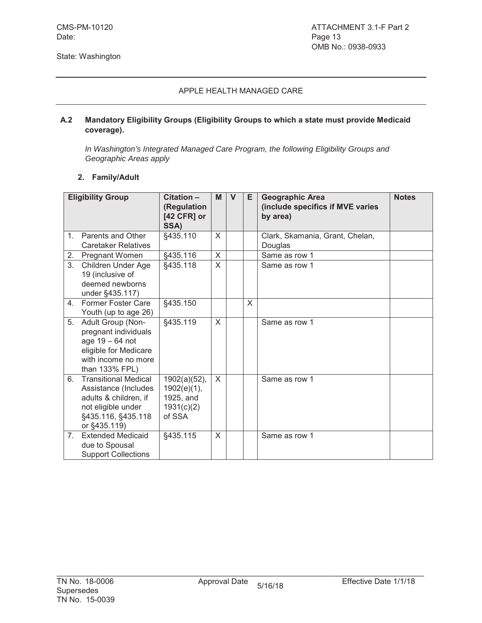#### **A.2 Mandatory Eligibility Groups (Eligibility Groups to which a state must provide Medicaid coverage).**

*In Washington's Integrated Managed Care Program, the following Eligibility Groups and Geographic Areas apply*

#### **2. Family/Adult**

|                | <b>Eligibility Group</b>                                                                                                                 | Citation -<br>(Regulation<br>[42 CFR] or<br>SSA)                    | M            | $\mathbf{V}$ | Е        | <b>Geographic Area</b><br>(include specifics if MVE varies<br>by area) | <b>Notes</b> |
|----------------|------------------------------------------------------------------------------------------------------------------------------------------|---------------------------------------------------------------------|--------------|--------------|----------|------------------------------------------------------------------------|--------------|
| 1 <sub>1</sub> | Parents and Other<br><b>Caretaker Relatives</b>                                                                                          | §435.110                                                            | $\times$     |              |          | Clark, Skamania, Grant, Chelan,<br>Douglas                             |              |
| 2.             | Pregnant Women                                                                                                                           | §435.116                                                            | $\mathsf{X}$ |              |          | Same as row 1                                                          |              |
| 3.             | Children Under Age<br>19 (inclusive of<br>deemed newborns<br>under §435.117)                                                             | §435.118                                                            | X            |              |          | Same as row 1                                                          |              |
| 4.             | <b>Former Foster Care</b><br>Youth (up to age 26)                                                                                        | §435.150                                                            |              |              | $\times$ |                                                                        |              |
| 5.             | Adult Group (Non-<br>pregnant individuals<br>age 19 - 64 not<br>eligible for Medicare<br>with income no more<br>than 133% FPL)           | §435.119                                                            | X            |              |          | Same as row 1                                                          |              |
| 6.             | <b>Transitional Medical</b><br>Assistance (Includes<br>adults & children, if<br>not eligible under<br>§435.116, §435.118<br>or §435.119) | $1902(a)(52)$ ,<br>1902(e)(1),<br>1925, and<br>1931(c)(2)<br>of SSA | X            |              |          | Same as row 1                                                          |              |
| 7.             | <b>Extended Medicaid</b><br>due to Spousal<br><b>Support Collections</b>                                                                 | §435.115                                                            | X            |              |          | Same as row 1                                                          |              |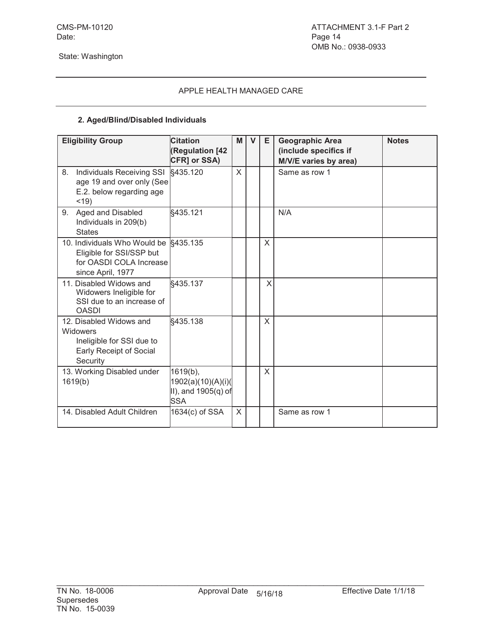# **2. Aged/Blind/Disabled Individuals**

| <b>Eligibility Group</b>                                                                                          | <b>Citation</b><br>(Regulation [42<br>CFR] or SSA)                       | M        | $\mathbf{V}$ | Е | <b>Geographic Area</b><br>(include specifics if<br>M/V/E varies by area) | <b>Notes</b> |
|-------------------------------------------------------------------------------------------------------------------|--------------------------------------------------------------------------|----------|--------------|---|--------------------------------------------------------------------------|--------------|
| Individuals Receiving SSI<br>8.<br>age 19 and over only (See<br>E.2. below regarding age<br>$<$ 19)               | §435.120                                                                 | $\times$ |              |   | Same as row 1                                                            |              |
| Aged and Disabled<br>9.<br>Individuals in 209(b)<br><b>States</b>                                                 | §435.121                                                                 |          |              |   | N/A                                                                      |              |
| 10. Individuals Who Would be §435.135<br>Eligible for SSI/SSP but<br>for OASDI COLA Increase<br>since April, 1977 |                                                                          |          |              | X |                                                                          |              |
| 11. Disabled Widows and<br>Widowers Ineligible for<br>SSI due to an increase of<br><b>OASDI</b>                   | §435.137                                                                 |          |              | X |                                                                          |              |
| 12. Disabled Widows and<br>Widowers<br>Ineligible for SSI due to<br>Early Receipt of Social<br>Security           | §435.138                                                                 |          |              | X |                                                                          |              |
| 13. Working Disabled under<br>1619(b)                                                                             | $1619(b)$ ,<br>1902(a)(10)(A)(i)(<br>II), and $1905(q)$ of<br><b>SSA</b> |          |              | X |                                                                          |              |
| 14. Disabled Adult Children                                                                                       | 1634(c) of SSA                                                           | X        |              |   | Same as row 1                                                            |              |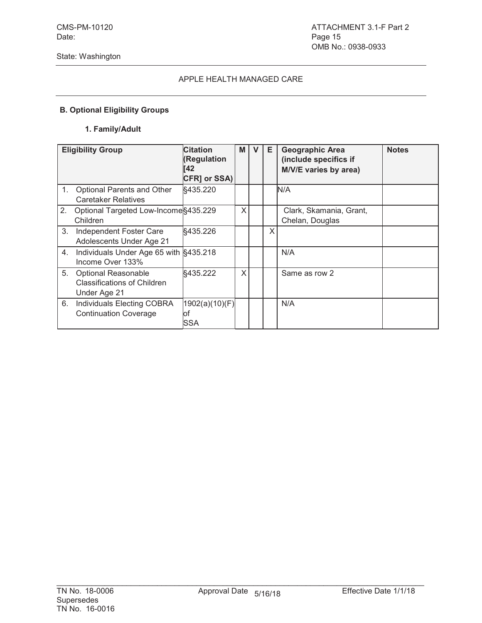# **B. Optional Eligibility Groups**

#### **1. Family/Adult**

|         | <b>Eligibility Group</b>                                                         | <b>Citation</b><br>(Regulation<br>li 42<br>CFR] or SSA) | M | V | Е | <b>Geographic Area</b><br>(include specifics if<br>M/V/E varies by area) | <b>Notes</b> |
|---------|----------------------------------------------------------------------------------|---------------------------------------------------------|---|---|---|--------------------------------------------------------------------------|--------------|
| $1_{-}$ | Optional Parents and Other<br><b>Caretaker Relatives</b>                         | §435.220                                                |   |   |   | N/A                                                                      |              |
| 2.      | Optional Targeted Low-Income §435.229<br>Children                                |                                                         | X |   |   | Clark, Skamania, Grant,<br>Chelan, Douglas                               |              |
| 3.      | Independent Foster Care<br>Adolescents Under Age 21                              | §435.226                                                |   |   | X |                                                                          |              |
| 4.      | Individuals Under Age 65 with §435.218<br>Income Over 133%                       |                                                         |   |   |   | N/A                                                                      |              |
| 5.      | <b>Optional Reasonable</b><br><b>Classifications of Children</b><br>Under Age 21 | §435.222                                                | X |   |   | Same as row 2                                                            |              |
| 6.      | Individuals Electing COBRA<br><b>Continuation Coverage</b>                       | 1902(a)(10)(F) <br>lof<br>SSA                           |   |   |   | N/A                                                                      |              |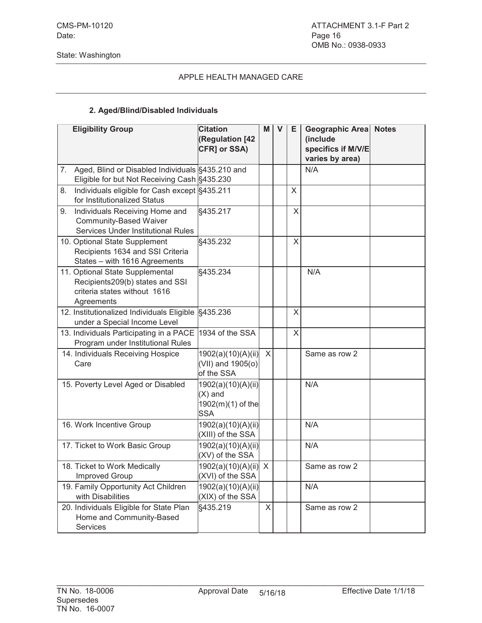#### **2. Aged/Blind/Disabled Individuals**

|    | <b>Eligibility Group</b>                                                                                         | <b>Citation</b><br>(Regulation [42<br>CFR] or SSA)                 | M | V | E. | <b>Geographic Area</b> Notes<br>(include<br>specifics if M/V/E<br>varies by area) |  |
|----|------------------------------------------------------------------------------------------------------------------|--------------------------------------------------------------------|---|---|----|-----------------------------------------------------------------------------------|--|
| 7. | Aged, Blind or Disabled Individuals §435.210 and<br>Eligible for but Not Receiving Cash §435.230                 |                                                                    |   |   |    | N/A                                                                               |  |
| 8. | Individuals eligible for Cash except §435.211<br>for Institutionalized Status                                    |                                                                    |   |   | X  |                                                                                   |  |
| 9. | Individuals Receiving Home and<br><b>Community-Based Waiver</b><br><b>Services Under Institutional Rules</b>     | §435.217                                                           |   |   | X  |                                                                                   |  |
|    | 10. Optional State Supplement<br>Recipients 1634 and SSI Criteria<br>States - with 1616 Agreements               | §435.232                                                           |   |   | X  |                                                                                   |  |
|    | 11. Optional State Supplemental<br>Recipients209(b) states and SSI<br>criteria states without 1616<br>Agreements | §435.234                                                           |   |   |    | N/A                                                                               |  |
|    | 12. Institutionalized Individuals Eligible §435.236<br>under a Special Income Level                              |                                                                    |   |   | X  |                                                                                   |  |
|    | 13. Individuals Participating in a PACE<br>Program under Institutional Rules                                     | 1934 of the SSA                                                    |   |   | X  |                                                                                   |  |
|    | 14. Individuals Receiving Hospice<br>Care                                                                        | 1902(a)(10)(A)(ii) X<br>(VII) and 1905(o)<br>of the SSA            |   |   |    | Same as row 2                                                                     |  |
|    | 15. Poverty Level Aged or Disabled                                                                               | 1902(a)(10)(A)(ii)<br>$(X)$ and<br>1902(m)(1) of the<br><b>SSA</b> |   |   |    | N/A                                                                               |  |
|    | 16. Work Incentive Group                                                                                         | 1902(a)(10)(A)(ii)<br>(XIII) of the SSA                            |   |   |    | N/A                                                                               |  |
|    | 17. Ticket to Work Basic Group                                                                                   | 1902(a)(10)(A)(ii)<br>(XV) of the SSA                              |   |   |    | N/A                                                                               |  |
|    | 18. Ticket to Work Medically<br>Improved Group                                                                   | 1902(a)(10)(A)(ii) X<br>(XVI) of the SSA                           |   |   |    | Same as row 2                                                                     |  |
|    | 19. Family Opportunity Act Children<br>with Disabilities                                                         | 1902(a)(10)(A)(ii)<br>(XIX) of the SSA                             |   |   |    | N/A                                                                               |  |
|    | 20. Individuals Eligible for State Plan<br>Home and Community-Based<br>Services                                  | §435.219                                                           | X |   |    | Same as row 2                                                                     |  |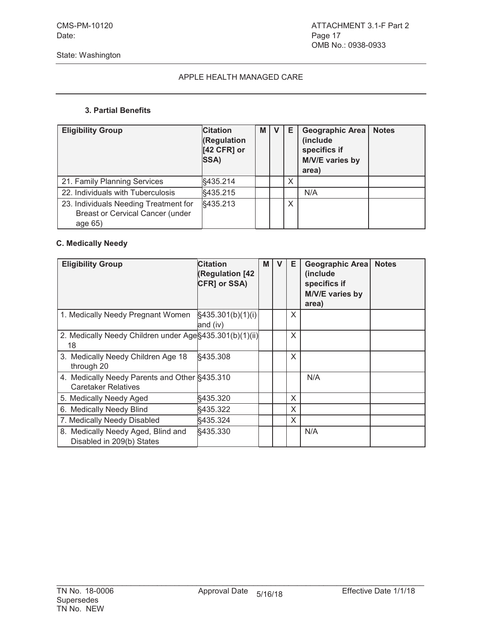#### **3. Partial Benefits**

| <b>Eligibility Group</b>                                                                    | <b>Citation</b><br>(Regulation<br>$[42$ CFR] or<br>SSA) | M | v | Е | <b>Geographic Area</b><br>(include<br>specifics if<br>M/V/E varies by<br>area) | <b>Notes</b> |
|---------------------------------------------------------------------------------------------|---------------------------------------------------------|---|---|---|--------------------------------------------------------------------------------|--------------|
| 21. Family Planning Services                                                                | §435.214                                                |   |   | X |                                                                                |              |
| 22. Individuals with Tuberculosis                                                           | §435.215                                                |   |   |   | N/A                                                                            |              |
| 23. Individuals Needing Treatment for<br><b>Breast or Cervical Cancer (under</b><br>age 65) | §435.213                                                |   |   | X |                                                                                |              |

# **C. Medically Needy**

| <b>Eligibility Group</b>                                                    | <b>Citation</b><br><b>Regulation [42)</b><br>CFR] or SSA) | M | v | Е | Geographic Area<br>(include)<br>specifics if<br>M/V/E varies by<br>area) | <b>Notes</b> |
|-----------------------------------------------------------------------------|-----------------------------------------------------------|---|---|---|--------------------------------------------------------------------------|--------------|
| 1. Medically Needy Pregnant Women                                           | §435.301(b)(1)(i)<br>and (iv)                             |   |   | X |                                                                          |              |
| 2. Medically Needy Children under Age §435.301(b)(1)(ii)<br>18              |                                                           |   |   | X |                                                                          |              |
| 3. Medically Needy Children Age 18<br>through 20                            | §435.308                                                  |   |   | X |                                                                          |              |
| 4. Medically Needy Parents and Other §435.310<br><b>Caretaker Relatives</b> |                                                           |   |   |   | N/A                                                                      |              |
| 5. Medically Needy Aged                                                     | §435.320                                                  |   |   | X |                                                                          |              |
| 6. Medically Needy Blind                                                    | §435.322                                                  |   |   | X |                                                                          |              |
| 7. Medically Needy Disabled                                                 | §435.324                                                  |   |   | X |                                                                          |              |
| 8. Medically Needy Aged, Blind and<br>Disabled in 209(b) States             | §435.330                                                  |   |   |   | N/A                                                                      |              |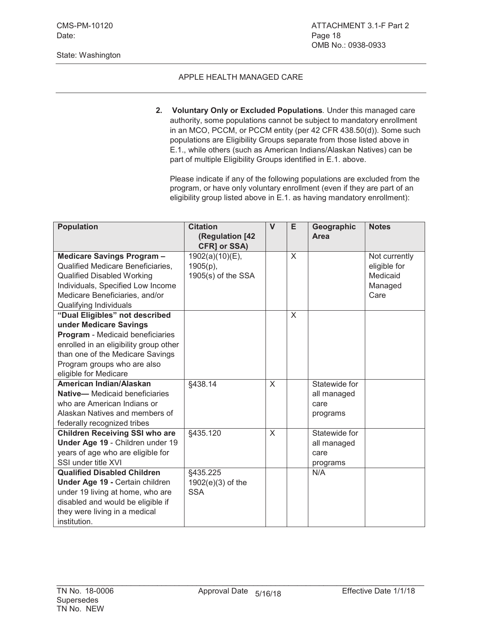Date: Page 18

#### State: Washington

#### APPLE HEALTH MANAGED CARE

**2. Voluntary Only or Excluded Populations***.* Under this managed care authority, some populations cannot be subject to mandatory enrollment in an MCO, PCCM, or PCCM entity (per 42 CFR 438.50(d)). Some such populations are Eligibility Groups separate from those listed above in E.1., while others (such as American Indians/Alaskan Natives) can be part of multiple Eligibility Groups identified in E.1. above.

Please indicate if any of the following populations are excluded from the program, or have only voluntary enrollment (even if they are part of an eligibility group listed above in E.1. as having mandatory enrollment):

| <b>Population</b>                      | <b>Citation</b>      | $\mathsf{V}$ | E        | Geographic    | <b>Notes</b>  |
|----------------------------------------|----------------------|--------------|----------|---------------|---------------|
|                                        | (Regulation [42      |              |          | Area          |               |
|                                        | CFR] or SSA)         |              |          |               |               |
| Medicare Savings Program-              | 1902(a)(10)(E),      |              | X        |               | Not currently |
| Qualified Medicare Beneficiaries,      | $1905(p)$ ,          |              |          |               | eligible for  |
| <b>Qualified Disabled Working</b>      | $1905(s)$ of the SSA |              |          |               | Medicaid      |
| Individuals, Specified Low Income      |                      |              |          |               | Managed       |
| Medicare Beneficiaries, and/or         |                      |              |          |               | Care          |
| Qualifying Individuals                 |                      |              |          |               |               |
| "Dual Eligibles" not described         |                      |              | $\times$ |               |               |
| under Medicare Savings                 |                      |              |          |               |               |
| Program - Medicaid beneficiaries       |                      |              |          |               |               |
| enrolled in an eligibility group other |                      |              |          |               |               |
| than one of the Medicare Savings       |                      |              |          |               |               |
| Program groups who are also            |                      |              |          |               |               |
| eligible for Medicare                  |                      |              |          |               |               |
| American Indian/Alaskan                | §438.14              | $\mathsf{X}$ |          | Statewide for |               |
| Native-Medicaid beneficiaries          |                      |              |          | all managed   |               |
| who are American Indians or            |                      |              |          | care          |               |
| Alaskan Natives and members of         |                      |              |          | programs      |               |
| federally recognized tribes            |                      |              |          |               |               |
| <b>Children Receiving SSI who are</b>  | §435.120             | X            |          | Statewide for |               |
| Under Age 19 - Children under 19       |                      |              |          | all managed   |               |
| years of age who are eligible for      |                      |              |          | care          |               |
| SSI under title XVI                    |                      |              |          | programs      |               |
| <b>Qualified Disabled Children</b>     | §435.225             |              |          | N/A           |               |
| Under Age 19 - Certain children        | $1902(e)(3)$ of the  |              |          |               |               |
| under 19 living at home, who are       | <b>SSA</b>           |              |          |               |               |
| disabled and would be eligible if      |                      |              |          |               |               |
| they were living in a medical          |                      |              |          |               |               |
| institution.                           |                      |              |          |               |               |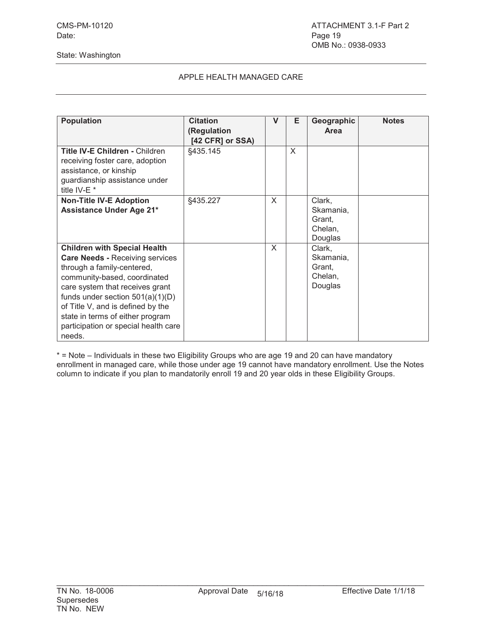### APPLE HEALTH MANAGED CARE

| <b>Population</b>                                                                                                                                                                                                                                                                                                                               | <b>Citation</b><br>(Regulation<br>[42 CFR] or SSA) | V | Е            | Geographic<br>Area                                  | <b>Notes</b> |
|-------------------------------------------------------------------------------------------------------------------------------------------------------------------------------------------------------------------------------------------------------------------------------------------------------------------------------------------------|----------------------------------------------------|---|--------------|-----------------------------------------------------|--------------|
| <b>Title IV-E Children - Children</b><br>receiving foster care, adoption<br>assistance, or kinship<br>guardianship assistance under<br>title IV-E <sup>*</sup>                                                                                                                                                                                  | §435.145                                           |   | $\mathsf{X}$ |                                                     |              |
| <b>Non-Title IV-E Adoption</b><br><b>Assistance Under Age 21*</b>                                                                                                                                                                                                                                                                               | §435.227                                           | X |              | Clark,<br>Skamania,<br>Grant.<br>Chelan,<br>Douglas |              |
| <b>Children with Special Health</b><br><b>Care Needs - Receiving services</b><br>through a family-centered,<br>community-based, coordinated<br>care system that receives grant<br>funds under section $501(a)(1)(D)$<br>of Title V, and is defined by the<br>state in terms of either program<br>participation or special health care<br>needs. |                                                    | X |              | Clark,<br>Skamania,<br>Grant,<br>Chelan,<br>Douglas |              |

\* = Note – Individuals in these two Eligibility Groups who are age 19 and 20 can have mandatory enrollment in managed care, while those under age 19 cannot have mandatory enrollment. Use the Notes column to indicate if you plan to mandatorily enroll 19 and 20 year olds in these Eligibility Groups.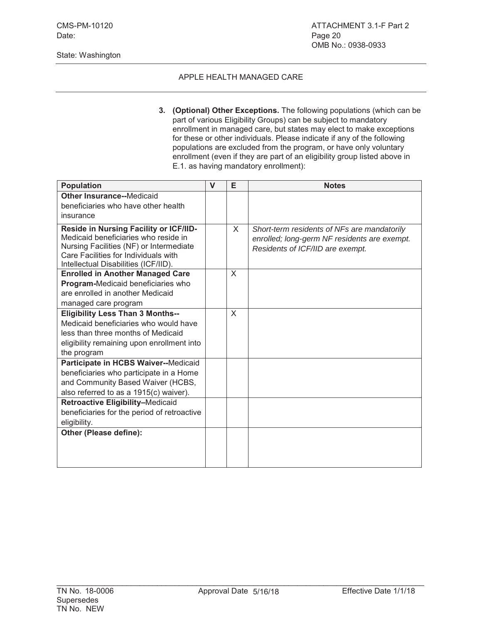Date: Page 20

#### State: Washington

### APPLE HEALTH MANAGED CARE

**3. (Optional) Other Exceptions.** The following populations (which can be part of various Eligibility Groups) can be subject to mandatory enrollment in managed care, but states may elect to make exceptions for these or other individuals. Please indicate if any of the following populations are excluded from the program, or have only voluntary enrollment (even if they are part of an eligibility group listed above in E.1. as having mandatory enrollment):

| <b>Population</b>                                                                                                                                                                                         | $\mathbf v$ | E | <b>Notes</b>                                                                                                                    |
|-----------------------------------------------------------------------------------------------------------------------------------------------------------------------------------------------------------|-------------|---|---------------------------------------------------------------------------------------------------------------------------------|
| <b>Other Insurance--Medicaid</b>                                                                                                                                                                          |             |   |                                                                                                                                 |
| beneficiaries who have other health                                                                                                                                                                       |             |   |                                                                                                                                 |
| insurance                                                                                                                                                                                                 |             |   |                                                                                                                                 |
| Reside in Nursing Facility or ICF/IID-<br>Medicaid beneficiaries who reside in<br>Nursing Facilities (NF) or Intermediate<br>Care Facilities for Individuals with<br>Intellectual Disabilities (ICF/IID). |             | X | Short-term residents of NFs are mandatorily<br>enrolled; long-germ NF residents are exempt.<br>Residents of ICF/IID are exempt. |
| <b>Enrolled in Another Managed Care</b>                                                                                                                                                                   |             | X |                                                                                                                                 |
| Program-Medicaid beneficiaries who                                                                                                                                                                        |             |   |                                                                                                                                 |
| are enrolled in another Medicaid                                                                                                                                                                          |             |   |                                                                                                                                 |
| managed care program                                                                                                                                                                                      |             |   |                                                                                                                                 |
| <b>Eligibility Less Than 3 Months--</b><br>Medicaid beneficiaries who would have<br>less than three months of Medicaid<br>eligibility remaining upon enrollment into<br>the program                       |             | X |                                                                                                                                 |
| Participate in HCBS Waiver--Medicaid                                                                                                                                                                      |             |   |                                                                                                                                 |
| beneficiaries who participate in a Home                                                                                                                                                                   |             |   |                                                                                                                                 |
| and Community Based Waiver (HCBS,                                                                                                                                                                         |             |   |                                                                                                                                 |
| also referred to as a 1915(c) waiver).                                                                                                                                                                    |             |   |                                                                                                                                 |
| Retroactive Eligibility-Medicaid<br>beneficiaries for the period of retroactive                                                                                                                           |             |   |                                                                                                                                 |
| eligibility.                                                                                                                                                                                              |             |   |                                                                                                                                 |
| Other (Please define):                                                                                                                                                                                    |             |   |                                                                                                                                 |
|                                                                                                                                                                                                           |             |   |                                                                                                                                 |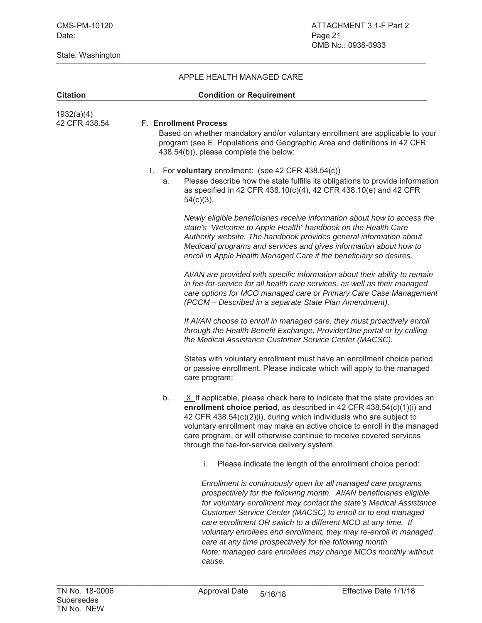| <b>Citation</b>             | <b>Condition or Requirement</b>                                                                                                                                                                                                                                                                                                                                                                                                                                                                                                                      |  |
|-----------------------------|------------------------------------------------------------------------------------------------------------------------------------------------------------------------------------------------------------------------------------------------------------------------------------------------------------------------------------------------------------------------------------------------------------------------------------------------------------------------------------------------------------------------------------------------------|--|
| 1932(a)(4)<br>42 CFR 438.54 | <b>F. Enrollment Process</b><br>Based on whether mandatory and/or voluntary enrollment are applicable to your<br>program (see E. Populations and Geographic Area and definitions in 42 CFR<br>438.54(b)), please complete the below:                                                                                                                                                                                                                                                                                                                 |  |
|                             | 1. For voluntary enrollment: (see 42 CFR 438.54(c))<br>Please describe how the state fulfills its obligations to provide information<br>a.<br>as specified in 42 CFR 438.10(c)(4), 42 CFR 438.10(e) and 42 CFR<br>$54(c)(3)$ .                                                                                                                                                                                                                                                                                                                       |  |
|                             | Newly eligible beneficiaries receive information about how to access the<br>state's "Welcome to Apple Health" handbook on the Health Care<br>Authority website. The handbook provides general information about<br>Medicaid programs and services and gives information about how to<br>enroll in Apple Health Managed Care if the beneficiary so desires.                                                                                                                                                                                           |  |
|                             | AI/AN are provided with specific information about their ability to remain<br>in fee-for-service for all health care services, as well as their managed<br>care options for MCO managed care or Primary Care Case Management<br>(PCCM - Described in a separate State Plan Amendment).                                                                                                                                                                                                                                                               |  |
|                             | If AI/AN choose to enroll in managed care, they must proactively enroll<br>through the Health Benefit Exchange, ProviderOne portal or by calling<br>the Medical Assistance Customer Service Center (MACSC).                                                                                                                                                                                                                                                                                                                                          |  |
|                             | States with voluntary enrollment must have an enrollment choice period<br>or passive enrollment. Please indicate which will apply to the managed<br>care program:                                                                                                                                                                                                                                                                                                                                                                                    |  |
|                             | b.<br>$X$ If applicable, please check here to indicate that the state provides an<br>enrollment choice period, as described in 42 CFR 438.54(c)(1)(i) and<br>42 CFR 438.54(c)(2)(i), during which individuals who are subject to<br>voluntary enrollment may make an active choice to enroll in the managed<br>care program, or will otherwise continue to receive covered services<br>through the fee-for-service delivery system.                                                                                                                  |  |
|                             | Please indicate the length of the enrollment choice period:<br>$\mathbf{i}$ .                                                                                                                                                                                                                                                                                                                                                                                                                                                                        |  |
|                             | Enrollment is continuously open for all managed care programs<br>prospectively for the following month. Al/AN beneficiaries eligible<br>for voluntary enrollment may contact the state's Medical Assistance<br>Customer Service Center (MACSC) to enroll or to end managed<br>care enrollment OR switch to a different MCO at any time. If<br>voluntary enrollees end enrollment, they may re-enroll in managed<br>care at any time prospectively for the following month.<br>Note: managed care enrollees may change MCOs monthly without<br>cause. |  |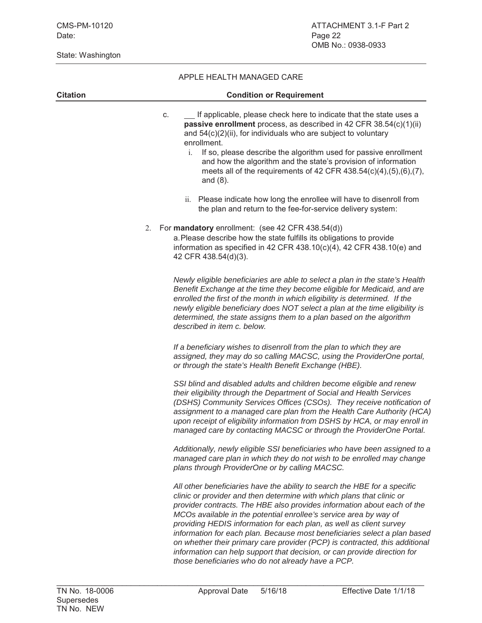| <b>Citation</b> | <b>Condition or Requirement</b>                                                                                                                                                                                                                                                                                                                                                                                                                                                                                                                                                                                                                                         |
|-----------------|-------------------------------------------------------------------------------------------------------------------------------------------------------------------------------------------------------------------------------------------------------------------------------------------------------------------------------------------------------------------------------------------------------------------------------------------------------------------------------------------------------------------------------------------------------------------------------------------------------------------------------------------------------------------------|
|                 | If applicable, please check here to indicate that the state uses a<br>C.<br>passive enrollment process, as described in 42 CFR 38.54(c)(1)(ii)<br>and $54(c)(2)(ii)$ , for individuals who are subject to voluntary<br>enrollment.<br>i. If so, please describe the algorithm used for passive enrollment<br>and how the algorithm and the state's provision of information<br>meets all of the requirements of 42 CFR 438.54(c)(4),(5),(6),(7),<br>and $(8)$ .                                                                                                                                                                                                         |
|                 | ii. Please indicate how long the enrollee will have to disenroll from<br>the plan and return to the fee-for-service delivery system:                                                                                                                                                                                                                                                                                                                                                                                                                                                                                                                                    |
|                 | For mandatory enrollment: (see 42 CFR 438.54(d))<br>2.<br>a. Please describe how the state fulfills its obligations to provide<br>information as specified in 42 CFR 438.10(c)(4), 42 CFR 438.10(e) and<br>42 CFR 438.54(d)(3).                                                                                                                                                                                                                                                                                                                                                                                                                                         |
|                 | Newly eligible beneficiaries are able to select a plan in the state's Health<br>Benefit Exchange at the time they become eligible for Medicaid, and are<br>enrolled the first of the month in which eligibility is determined. If the<br>newly eligible beneficiary does NOT select a plan at the time eligibility is<br>determined, the state assigns them to a plan based on the algorithm<br>described in item c. below.                                                                                                                                                                                                                                             |
|                 | If a beneficiary wishes to disenroll from the plan to which they are<br>assigned, they may do so calling MACSC, using the ProviderOne portal,<br>or through the state's Health Benefit Exchange (HBE).                                                                                                                                                                                                                                                                                                                                                                                                                                                                  |
|                 | SSI blind and disabled adults and children become eligible and renew<br>their eligibility through the Department of Social and Health Services<br>(DSHS) Community Services Offices (CSOs). They receive notification of<br>assignment to a managed care plan from the Health Care Authority (HCA)<br>upon receipt of eligibility information from DSHS by HCA, or may enroll in<br>managed care by contacting MACSC or through the ProviderOne Portal.                                                                                                                                                                                                                 |
|                 | Additionally, newly eligible SSI beneficiaries who have been assigned to a<br>managed care plan in which they do not wish to be enrolled may change<br>plans through ProviderOne or by calling MACSC.                                                                                                                                                                                                                                                                                                                                                                                                                                                                   |
|                 | All other beneficiaries have the ability to search the HBE for a specific<br>clinic or provider and then determine with which plans that clinic or<br>provider contracts. The HBE also provides information about each of the<br>MCOs available in the potential enrollee's service area by way of<br>providing HEDIS information for each plan, as well as client survey<br>information for each plan. Because most beneficiaries select a plan based<br>on whether their primary care provider (PCP) is contracted, this additional<br>information can help support that decision, or can provide direction for<br>those beneficiaries who do not already have a PCP. |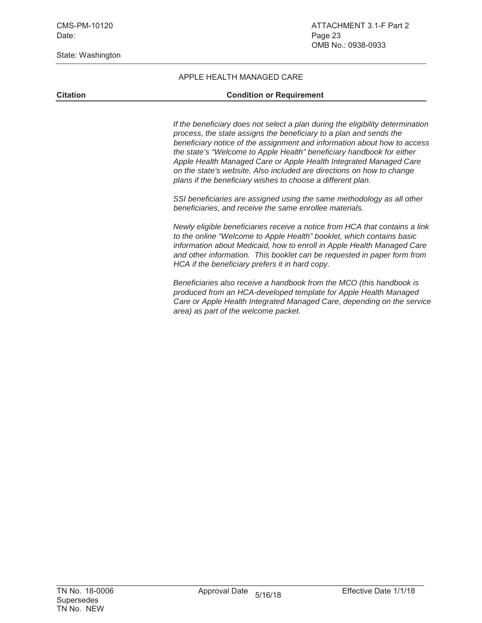#### APPLE HEALTH MANAGED CARE

#### **Citation Citation Condition or Requirement**

*If the beneficiary does not select a plan during the eligibility determination process, the state assigns the beneficiary to a plan and sends the beneficiary notice of the assignment and information about how to access the state's "Welcome to Apple Health" beneficiary handbook for either Apple Health Managed Care or Apple Health Integrated Managed Care on the state's website. Also included are directions on how to change plans if the beneficiary wishes to choose a different plan.* 

*SSI beneficiaries are assigned using the same methodology as all other beneficiaries, and receive the same enrollee materials.*

*Newly eligible beneficiaries receive a notice from HCA that contains a link to the online "Welcome to Apple Health" booklet, which contains basic information about Medicaid, how to enroll in Apple Health Managed Care and other information. This booklet can be requested in paper form from HCA if the beneficiary prefers it in hard copy.*

*Beneficiaries also receive a handbook from the MCO (this handbook is produced from an HCA-developed template for Apple Health Managed Care or Apple Health Integrated Managed Care, depending on the service area) as part of the welcome packet.*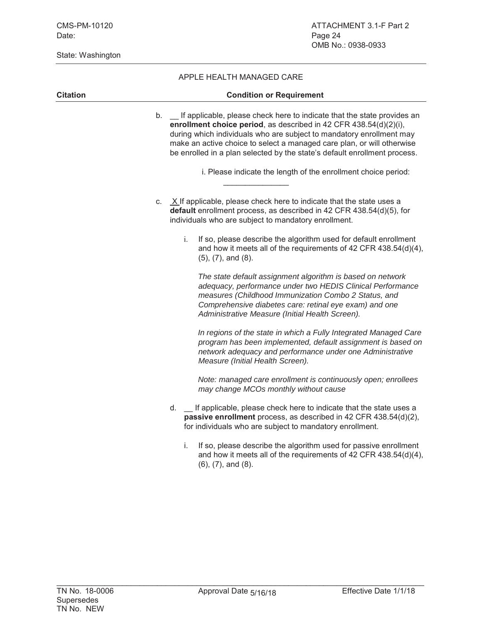#### APPLE HEALTH MANAGED CARE

| <b>Citation</b> | <b>Condition or Requirement</b>                                                                                                                                                                                                                                                                                                                                                  |
|-----------------|----------------------------------------------------------------------------------------------------------------------------------------------------------------------------------------------------------------------------------------------------------------------------------------------------------------------------------------------------------------------------------|
|                 | b. _ If applicable, please check here to indicate that the state provides an<br>enrollment choice period, as described in 42 CFR 438.54(d)(2)(i),<br>during which individuals who are subject to mandatory enrollment may<br>make an active choice to select a managed care plan, or will otherwise<br>be enrolled in a plan selected by the state's default enrollment process. |
|                 | i. Please indicate the length of the enrollment choice period:                                                                                                                                                                                                                                                                                                                   |
|                 | c. $X$ If applicable, please check here to indicate that the state uses a<br>default enrollment process, as described in 42 CFR 438.54(d)(5), for<br>individuals who are subject to mandatory enrollment.                                                                                                                                                                        |
|                 | If so, please describe the algorithm used for default enrollment<br>$i$ .<br>and how it meets all of the requirements of 42 CFR 438.54(d)(4),<br>$(5)$ , $(7)$ , and $(8)$ .                                                                                                                                                                                                     |
|                 | The state default assignment algorithm is based on network<br>adequacy, performance under two HEDIS Clinical Performance<br>measures (Childhood Immunization Combo 2 Status, and<br>Comprehensive diabetes care: retinal eye exam) and one<br>Administrative Measure (Initial Health Screen).                                                                                    |
|                 | In regions of the state in which a Fully Integrated Managed Care<br>program has been implemented, default assignment is based on<br>network adequacy and performance under one Administrative<br>Measure (Initial Health Screen).                                                                                                                                                |
|                 | Note: managed care enrollment is continuously open; enrollees<br>may change MCOs monthly without cause                                                                                                                                                                                                                                                                           |
|                 | d. _ If applicable, please check here to indicate that the state uses a<br>passive enrollment process, as described in 42 CFR 438.54(d)(2),<br>for individuals who are subject to mandatory enrollment.                                                                                                                                                                          |
|                 | If so, please describe the algorithm used for passive enrollment<br>i.<br>and how it meets all of the requirements of 42 CFR 438.54(d)(4),                                                                                                                                                                                                                                       |

(6), (7), and (8).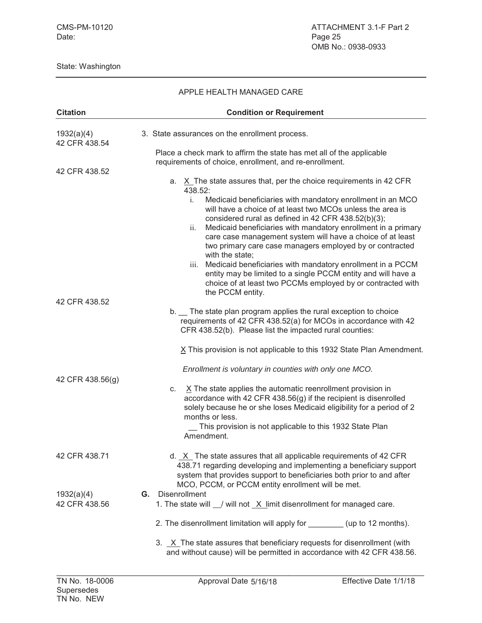| APPLE HEALTH MANAGED CARE   |                                                                                                                                                                                                                                                                                                                                                                                                                                                                                                                                                               |  |  |
|-----------------------------|---------------------------------------------------------------------------------------------------------------------------------------------------------------------------------------------------------------------------------------------------------------------------------------------------------------------------------------------------------------------------------------------------------------------------------------------------------------------------------------------------------------------------------------------------------------|--|--|
| <b>Citation</b>             | <b>Condition or Requirement</b>                                                                                                                                                                                                                                                                                                                                                                                                                                                                                                                               |  |  |
| 1932(a)(4)<br>42 CFR 438.54 | 3. State assurances on the enrollment process.                                                                                                                                                                                                                                                                                                                                                                                                                                                                                                                |  |  |
|                             | Place a check mark to affirm the state has met all of the applicable<br>requirements of choice, enrollment, and re-enrollment.                                                                                                                                                                                                                                                                                                                                                                                                                                |  |  |
| 42 CFR 438.52               | X The state assures that, per the choice requirements in 42 CFR<br>a.<br>438.52:                                                                                                                                                                                                                                                                                                                                                                                                                                                                              |  |  |
|                             | Medicaid beneficiaries with mandatory enrollment in an MCO<br>$\mathbf{i}$ .<br>will have a choice of at least two MCOs unless the area is<br>considered rural as defined in 42 CFR 438.52(b)(3);<br>ii.<br>Medicaid beneficiaries with mandatory enrollment in a primary<br>care case management system will have a choice of at least<br>two primary care case managers employed by or contracted<br>with the state;<br>iii.<br>Medicaid beneficiaries with mandatory enrollment in a PCCM<br>entity may be limited to a single PCCM entity and will have a |  |  |
| 42 CFR 438.52               | choice of at least two PCCMs employed by or contracted with<br>the PCCM entity.                                                                                                                                                                                                                                                                                                                                                                                                                                                                               |  |  |
|                             | b. The state plan program applies the rural exception to choice<br>requirements of 42 CFR 438.52(a) for MCOs in accordance with 42<br>CFR 438.52(b). Please list the impacted rural counties:                                                                                                                                                                                                                                                                                                                                                                 |  |  |
|                             | X This provision is not applicable to this 1932 State Plan Amendment.                                                                                                                                                                                                                                                                                                                                                                                                                                                                                         |  |  |
| 42 CFR 438.56(g)            | Enrollment is voluntary in counties with only one MCO.                                                                                                                                                                                                                                                                                                                                                                                                                                                                                                        |  |  |
|                             | $X$ The state applies the automatic reenrollment provision in<br>C.<br>accordance with 42 CFR 438.56(g) if the recipient is disenrolled<br>solely because he or she loses Medicaid eligibility for a period of 2<br>months or less.<br>This provision is not applicable to this 1932 State Plan<br>Amendment.                                                                                                                                                                                                                                                 |  |  |
| 42 CFR 438.71               | d. X The state assures that all applicable requirements of 42 CFR<br>438.71 regarding developing and implementing a beneficiary support<br>system that provides support to beneficiaries both prior to and after<br>MCO, PCCM, or PCCM entity enrollment will be met.                                                                                                                                                                                                                                                                                         |  |  |
| 1932(a)(4)<br>42 CFR 438.56 | Disenrollment<br>G.<br>1. The state will 1 will not X limit disenrollment for managed care.                                                                                                                                                                                                                                                                                                                                                                                                                                                                   |  |  |
|                             |                                                                                                                                                                                                                                                                                                                                                                                                                                                                                                                                                               |  |  |
|                             | 2. The disenrollment limitation will apply for _________ (up to 12 months).                                                                                                                                                                                                                                                                                                                                                                                                                                                                                   |  |  |
|                             | 3. X The state assures that beneficiary requests for disenrollment (with<br>and without cause) will be permitted in accordance with 42 CFR 438.56.                                                                                                                                                                                                                                                                                                                                                                                                            |  |  |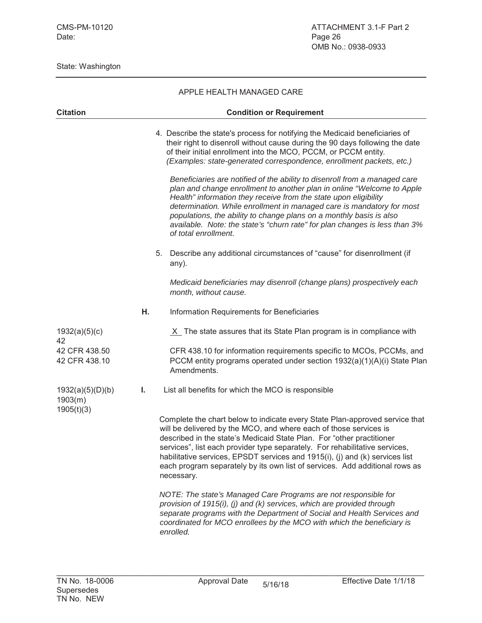|                                           |    | APPLE HEALTH MANAGED CARE                                                                                                                                                                                                                                                                                                                                                                                                                                                                                                                                                                                                                                                                                                                                                                |
|-------------------------------------------|----|------------------------------------------------------------------------------------------------------------------------------------------------------------------------------------------------------------------------------------------------------------------------------------------------------------------------------------------------------------------------------------------------------------------------------------------------------------------------------------------------------------------------------------------------------------------------------------------------------------------------------------------------------------------------------------------------------------------------------------------------------------------------------------------|
| <b>Citation</b>                           |    | <b>Condition or Requirement</b>                                                                                                                                                                                                                                                                                                                                                                                                                                                                                                                                                                                                                                                                                                                                                          |
|                                           |    | 4. Describe the state's process for notifying the Medicaid beneficiaries of<br>their right to disenroll without cause during the 90 days following the date<br>of their initial enrollment into the MCO, PCCM, or PCCM entity.<br>(Examples: state-generated correspondence, enrollment packets, etc.)<br>Beneficiaries are notified of the ability to disenroll from a managed care<br>plan and change enrollment to another plan in online "Welcome to Apple<br>Health" information they receive from the state upon eligibility<br>determination. While enrollment in managed care is mandatory for most<br>populations, the ability to change plans on a monthly basis is also<br>available. Note: the state's "churn rate" for plan changes is less than 3%<br>of total enrollment. |
|                                           |    | 5. Describe any additional circumstances of "cause" for disenrollment (if<br>any).                                                                                                                                                                                                                                                                                                                                                                                                                                                                                                                                                                                                                                                                                                       |
|                                           |    | Medicaid beneficiaries may disenroll (change plans) prospectively each<br>month, without cause.                                                                                                                                                                                                                                                                                                                                                                                                                                                                                                                                                                                                                                                                                          |
|                                           | н. | Information Requirements for Beneficiaries                                                                                                                                                                                                                                                                                                                                                                                                                                                                                                                                                                                                                                                                                                                                               |
| 1932(a)(5)(c)<br>42                       |    | $X$ The state assures that its State Plan program is in compliance with                                                                                                                                                                                                                                                                                                                                                                                                                                                                                                                                                                                                                                                                                                                  |
| 42 CFR 438.50<br>42 CFR 438.10            |    | CFR 438.10 for information requirements specific to MCOs, PCCMs, and<br>PCCM entity programs operated under section 1932(a)(1)(A)(i) State Plan<br>Amendments.                                                                                                                                                                                                                                                                                                                                                                                                                                                                                                                                                                                                                           |
| 1932(a)(5)(D)(b)<br>1903(m)<br>1905(t)(3) | I. | List all benefits for which the MCO is responsible                                                                                                                                                                                                                                                                                                                                                                                                                                                                                                                                                                                                                                                                                                                                       |
|                                           |    | Complete the chart below to indicate every State Plan-approved service that<br>will be delivered by the MCO, and where each of those services is<br>described in the state's Medicaid State Plan. For "other practitioner<br>services", list each provider type separately. For rehabilitative services,<br>habilitative services, EPSDT services and 1915(i), (j) and (k) services list<br>each program separately by its own list of services. Add additional rows as<br>necessary.                                                                                                                                                                                                                                                                                                    |
|                                           |    | NOTE: The state's Managed Care Programs are not responsible for<br>provision of 1915(i), (j) and (k) services, which are provided through<br>separate programs with the Department of Social and Health Services and<br>coordinated for MCO enrollees by the MCO with which the beneficiary is<br>enrolled.                                                                                                                                                                                                                                                                                                                                                                                                                                                                              |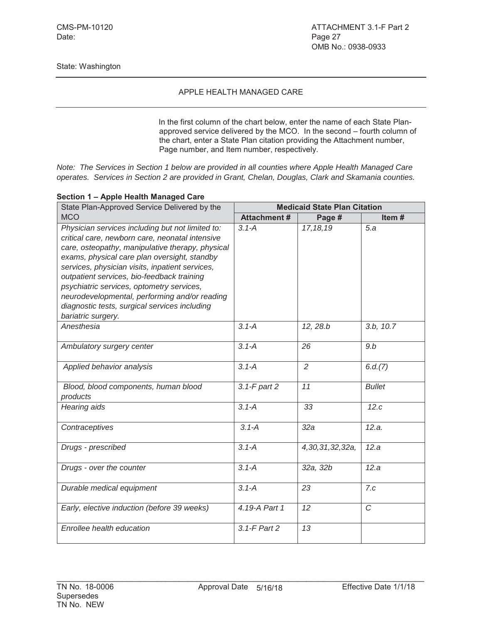#### APPLE HEALTH MANAGED CARE

In the first column of the chart below, enter the name of each State Planapproved service delivered by the MCO. In the second – fourth column of the chart, enter a State Plan citation providing the Attachment number, Page number, and Item number, respectively.

*Note: The Services in Section 1 below are provided in all counties where Apple Health Managed Care operates. Services in Section 2 are provided in Grant, Chelan, Douglas, Clark and Skamania counties.*

|  |  |  |  | Section 1 - Apple Health Managed Care |  |
|--|--|--|--|---------------------------------------|--|
|--|--|--|--|---------------------------------------|--|

| State Plan-Approved Service Delivered by the                                                                                                                                                                                                                                                                                                                                                                                                                                  | <b>Medicaid State Plan Citation</b> |                 |               |  |
|-------------------------------------------------------------------------------------------------------------------------------------------------------------------------------------------------------------------------------------------------------------------------------------------------------------------------------------------------------------------------------------------------------------------------------------------------------------------------------|-------------------------------------|-----------------|---------------|--|
| <b>MCO</b>                                                                                                                                                                                                                                                                                                                                                                                                                                                                    | <b>Attachment#</b>                  | Page #          | Item#         |  |
| Physician services including but not limited to:<br>critical care, newborn care, neonatal intensive<br>care, osteopathy, manipulative therapy, physical<br>exams, physical care plan oversight, standby<br>services, physician visits, inpatient services,<br>outpatient services, bio-feedback training<br>psychiatric services, optometry services,<br>neurodevelopmental, performing and/or reading<br>diagnostic tests, surgical services including<br>bariatric surgery. | $3.1 - A$                           | 17, 18, 19      | 5.a           |  |
| Anesthesia                                                                                                                                                                                                                                                                                                                                                                                                                                                                    | $3.1 - A$                           | 12, 28.b        | 3.b, 10.7     |  |
| Ambulatory surgery center                                                                                                                                                                                                                                                                                                                                                                                                                                                     | $3.1 - A$                           | 26              | 9.b           |  |
| Applied behavior analysis                                                                                                                                                                                                                                                                                                                                                                                                                                                     | $3.1 - A$                           | 2               | 6.d.(7)       |  |
| Blood, blood components, human blood<br>products                                                                                                                                                                                                                                                                                                                                                                                                                              | $3.1-F$ part $2$                    | 11              | <b>Bullet</b> |  |
| Hearing aids                                                                                                                                                                                                                                                                                                                                                                                                                                                                  | $3.1 - A$                           | 33              | 12.c          |  |
| Contraceptives                                                                                                                                                                                                                                                                                                                                                                                                                                                                | $3.1 - A$                           | 32a             | 12.a.         |  |
| Drugs - prescribed                                                                                                                                                                                                                                                                                                                                                                                                                                                            | $3.1 - A$                           | 4,30,31,32,32a, | 12.a          |  |
| Drugs - over the counter                                                                                                                                                                                                                                                                                                                                                                                                                                                      | $3.1 - A$                           | 32a, 32b        | 12.a          |  |
| Durable medical equipment                                                                                                                                                                                                                                                                                                                                                                                                                                                     | $3.1 - A$                           | 23              | 7.c           |  |
| Early, elective induction (before 39 weeks)                                                                                                                                                                                                                                                                                                                                                                                                                                   | 4.19-A Part 1                       | 12              | $\mathcal{C}$ |  |
| Enrollee health education                                                                                                                                                                                                                                                                                                                                                                                                                                                     | 3.1-F Part 2                        | 13              |               |  |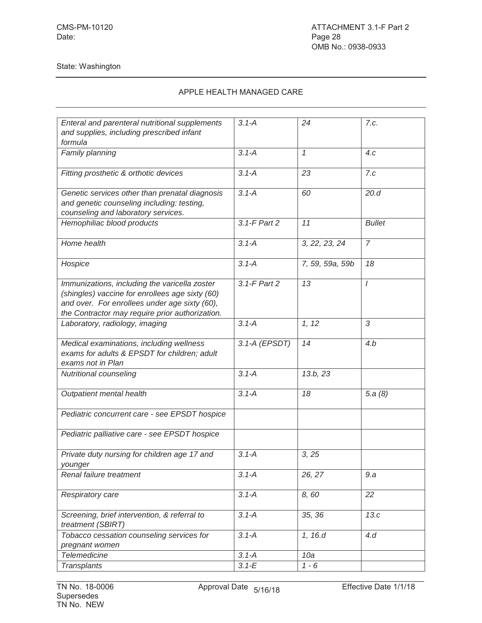| Enteral and parenteral nutritional supplements  | $3.1 - A$     | 24              | 7.c.           |
|-------------------------------------------------|---------------|-----------------|----------------|
| and supplies, including prescribed infant       |               |                 |                |
| formula                                         |               |                 |                |
| Family planning                                 | $3.1 - A$     | $\mathcal I$    | 4.c            |
|                                                 |               |                 |                |
| Fitting prosthetic & orthotic devices           | $3.1 - A$     | 23              | 7.c            |
|                                                 |               |                 |                |
|                                                 |               |                 | 20.d           |
| Genetic services other than prenatal diagnosis  | $3.1 - A$     | 60              |                |
| and genetic counseling including: testing,      |               |                 |                |
| counseling and laboratory services.             |               |                 |                |
| Hemophiliac blood products                      | 3.1-F Part 2  | 11              | <b>Bullet</b>  |
|                                                 |               |                 |                |
| Home health                                     | $3.1 - A$     | 3, 22, 23, 24   | $\overline{7}$ |
|                                                 |               |                 |                |
| Hospice                                         | $3.1 - A$     | 7, 59, 59a, 59b | 18             |
|                                                 |               |                 |                |
|                                                 |               |                 |                |
| Immunizations, including the varicella zoster   | 3.1-F Part 2  | 13              | $\prime$       |
| (shingles) vaccine for enrollees age sixty (60) |               |                 |                |
| and over. For enrollees under age sixty (60),   |               |                 |                |
| the Contractor may require prior authorization. |               |                 |                |
| Laboratory, radiology, imaging                  | $3.1 - A$     | 1, 12           | 3              |
|                                                 |               |                 |                |
| Medical examinations, including wellness        | 3.1-A (EPSDT) | 14              | 4.b            |
| exams for adults & EPSDT for children; adult    |               |                 |                |
|                                                 |               |                 |                |
| exams not in Plan                               |               |                 |                |
| Nutritional counseling                          | $3.1 - A$     | 13.b, 23        |                |
|                                                 |               |                 |                |
| Outpatient mental health                        | $3.1 - A$     | 18              | 5.a $(8)$      |
|                                                 |               |                 |                |
| Pediatric concurrent care - see EPSDT hospice   |               |                 |                |
|                                                 |               |                 |                |
| Pediatric palliative care - see EPSDT hospice   |               |                 |                |
|                                                 |               |                 |                |
| Private duty nursing for children age 17 and    | $3.1 - A$     |                 |                |
|                                                 |               | 3, 25           |                |
| younger                                         |               |                 |                |
| Renal failure treatment                         | $3.1 - A$     | 26, 27          | 9.a            |
|                                                 |               |                 |                |
| Respiratory care                                | $3.1 - A$     | 8,60            | 22             |
|                                                 |               |                 |                |
| Screening, brief intervention, & referral to    | $3.1 - A$     | 35, 36          | 13.c           |
| treatment (SBIRT)                               |               |                 |                |
|                                                 |               |                 |                |
| Tobacco cessation counseling services for       | $3.1 - A$     | 1, 16.d         | 4.d            |
| pregnant women                                  |               |                 |                |
| Telemedicine                                    | $3.1 - A$     | 10a             |                |
| Transplants                                     | $3.1 - E$     | $1 - 6$         |                |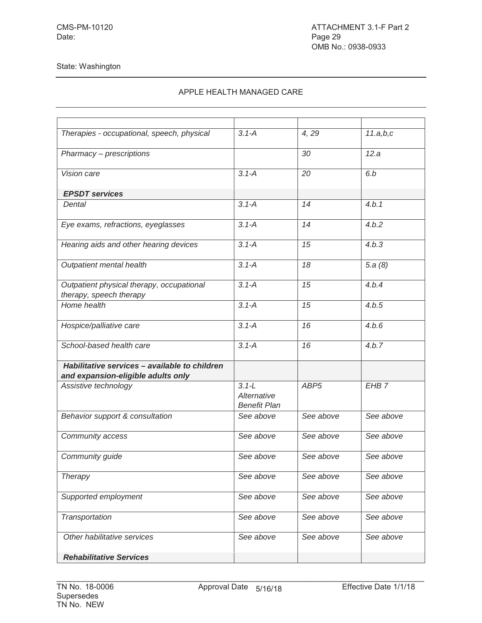| <b>Rehabilitative Services</b>                                                      |                                                 |                  |                  |
|-------------------------------------------------------------------------------------|-------------------------------------------------|------------------|------------------|
| Other habilitative services                                                         | See above                                       | See above        | See above        |
| Transportation                                                                      | See above                                       | See above        | See above        |
| Supported employment                                                                | See above                                       | See above        | See above        |
| <b>Therapy</b>                                                                      | See above                                       | See above        | See above        |
| Community guide                                                                     | See above                                       | See above        | See above        |
| Community access                                                                    | See above                                       | See above        | See above        |
| Behavior support & consultation                                                     | See above                                       | See above        | See above        |
| Assistive technology                                                                | $3.1 - L$<br>Alternative<br><b>Benefit Plan</b> | ABP <sub>5</sub> | EHB <sub>7</sub> |
| Habilitative services - available to children<br>and expansion-eligible adults only |                                                 |                  |                  |
| School-based health care                                                            | $3.1 - A$                                       | 16               | 4.b.7            |
| Hospice/palliative care                                                             | $3.1 - A$                                       | 16               | 4.b.6            |
| Home health                                                                         | $3.1 - A$                                       | 15               | 4.b.5            |
| Outpatient physical therapy, occupational<br>therapy, speech therapy                | $3.1 - A$                                       | 15               | 4.b.4            |
| Outpatient mental health                                                            | $3.1 - A$                                       | 18               | 5.a(8)           |
| Hearing aids and other hearing devices                                              | $3.1 - A$                                       | 15               | 4.b.3            |
| Eye exams, refractions, eyeglasses                                                  | $3.1 - A$                                       | 14               | 4.b.2            |
| Dental                                                                              | $3.1 - A$                                       | 14               | 4.b.1            |
| <b>EPSDT</b> services                                                               |                                                 |                  |                  |
| Vision care                                                                         | $3.1 - A$                                       | 20               | 6.b              |
| Pharmacy - prescriptions                                                            |                                                 | 30               | 12.a             |
| Therapies - occupational, speech, physical                                          | $3.1 - A$                                       | 4,29             | 11.a,b,c         |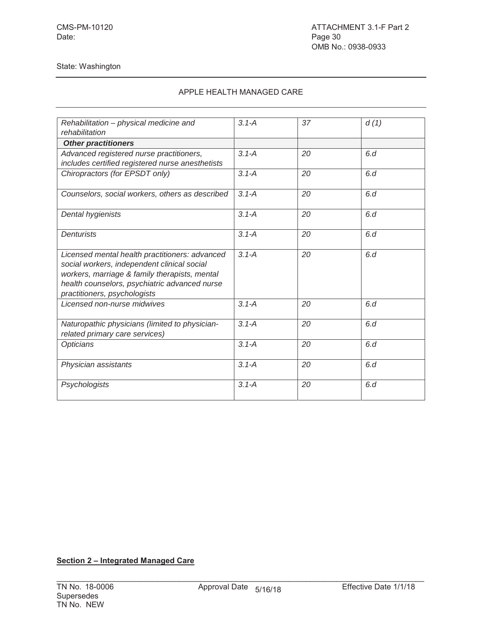# APPLE HEALTH MANAGED CARE

| Rehabilitation - physical medicine and                                                                                                                                                                                          | $3.1 - A$ | 37 | d(1) |
|---------------------------------------------------------------------------------------------------------------------------------------------------------------------------------------------------------------------------------|-----------|----|------|
| rehabilitation                                                                                                                                                                                                                  |           |    |      |
| <b>Other practitioners</b>                                                                                                                                                                                                      |           |    |      |
| Advanced registered nurse practitioners,                                                                                                                                                                                        | $3.1 - A$ | 20 | 6d   |
| includes certified registered nurse anesthetists                                                                                                                                                                                |           |    |      |
| Chiropractors (for EPSDT only)                                                                                                                                                                                                  | $3.1 - A$ | 20 | 6d   |
| Counselors, social workers, others as described                                                                                                                                                                                 | $3.1 - A$ | 20 | 6d   |
| Dental hygienists                                                                                                                                                                                                               | $3.1 - A$ | 20 | 6.d  |
| <b>Denturists</b>                                                                                                                                                                                                               | $3.1 - A$ | 20 | 6d   |
| Licensed mental health practitioners: advanced<br>social workers, independent clinical social<br>workers, marriage & family therapists, mental<br>health counselors, psychiatric advanced nurse<br>practitioners, psychologists | $3.1 - A$ | 20 | 6d   |
| Licensed non-nurse midwives                                                                                                                                                                                                     | $3.1 - A$ | 20 | 6d   |
| Naturopathic physicians (limited to physician-<br>related primary care services)                                                                                                                                                | $3.1 - A$ | 20 | 6d   |
| Opticians                                                                                                                                                                                                                       | $3.1 - A$ | 20 | 6d   |
| Physician assistants                                                                                                                                                                                                            | $3.1 - A$ | 20 | 6.d  |
| Psychologists                                                                                                                                                                                                                   | $3.1 - A$ | 20 | 6d   |

# **Section 2 – Integrated Managed Care**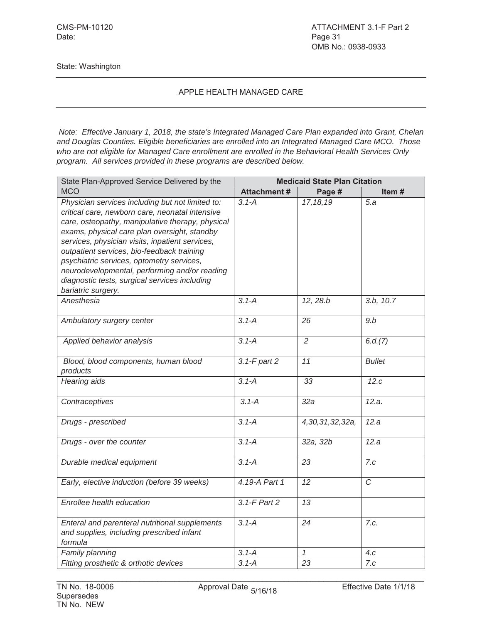#### APPLE HEALTH MANAGED CARE

*Note: Effective January 1, 2018, the state's Integrated Managed Care Plan expanded into Grant, Chelan and Douglas Counties. Eligible beneficiaries are enrolled into an Integrated Managed Care MCO. Those who are not eligible for Managed Care enrollment are enrolled in the Behavioral Health Services Only program. All services provided in these programs are described below.*

| State Plan-Approved Service Delivered by the                                                                                                                                                                                                                                                                                                                                                                                                                                  | <b>Medicaid State Plan Citation</b> |                 |                        |  |
|-------------------------------------------------------------------------------------------------------------------------------------------------------------------------------------------------------------------------------------------------------------------------------------------------------------------------------------------------------------------------------------------------------------------------------------------------------------------------------|-------------------------------------|-----------------|------------------------|--|
| <b>MCO</b>                                                                                                                                                                                                                                                                                                                                                                                                                                                                    | <b>Attachment#</b>                  | Page #          | Item#                  |  |
| Physician services including but not limited to:<br>critical care, newborn care, neonatal intensive<br>care, osteopathy, manipulative therapy, physical<br>exams, physical care plan oversight, standby<br>services, physician visits, inpatient services,<br>outpatient services, bio-feedback training<br>psychiatric services, optometry services,<br>neurodevelopmental, performing and/or reading<br>diagnostic tests, surgical services including<br>bariatric surgery. | $3.1 - A$                           | 17, 18, 19      | 5.a                    |  |
| Anesthesia                                                                                                                                                                                                                                                                                                                                                                                                                                                                    | $3.1 - A$                           | 12, 28.b        | 3.b, $10.\overline{7}$ |  |
| Ambulatory surgery center                                                                                                                                                                                                                                                                                                                                                                                                                                                     | $3.1 - A$                           | 26              | 9.b                    |  |
| Applied behavior analysis                                                                                                                                                                                                                                                                                                                                                                                                                                                     | $3.1 - A$                           | $\overline{2}$  | 6.d.(7)                |  |
| Blood, blood components, human blood<br>products                                                                                                                                                                                                                                                                                                                                                                                                                              | 3.1-F part 2                        | 11              | <b>Bullet</b>          |  |
| Hearing aids                                                                                                                                                                                                                                                                                                                                                                                                                                                                  | $3.1 - A$                           | 33              | 12.c                   |  |
| Contraceptives                                                                                                                                                                                                                                                                                                                                                                                                                                                                | $3.1 - A$                           | 32a             | 12.a.                  |  |
| Drugs - prescribed                                                                                                                                                                                                                                                                                                                                                                                                                                                            | $3.1 - A$                           | 4,30,31,32,32a, | 12.a                   |  |
| Drugs - over the counter                                                                                                                                                                                                                                                                                                                                                                                                                                                      | $3.1 - A$                           | 32a, 32b        | 12.a                   |  |
| Durable medical equipment                                                                                                                                                                                                                                                                                                                                                                                                                                                     | $3.1 - A$                           | 23              | 7.c                    |  |
| Early, elective induction (before 39 weeks)                                                                                                                                                                                                                                                                                                                                                                                                                                   | 4.19-A Part 1                       | 12              | $\mathcal{C}$          |  |
| Enrollee health education                                                                                                                                                                                                                                                                                                                                                                                                                                                     | 3.1-F Part 2                        | 13              |                        |  |
| Enteral and parenteral nutritional supplements<br>and supplies, including prescribed infant<br>formula                                                                                                                                                                                                                                                                                                                                                                        | $3.1 - A$                           | 24              | 7.c.                   |  |
| Family planning                                                                                                                                                                                                                                                                                                                                                                                                                                                               | $3.1 - A$                           | $\mathcal I$    | 4.c                    |  |
| Fitting prosthetic & orthotic devices                                                                                                                                                                                                                                                                                                                                                                                                                                         | $3.1 - A$                           | $\overline{23}$ | 7.c                    |  |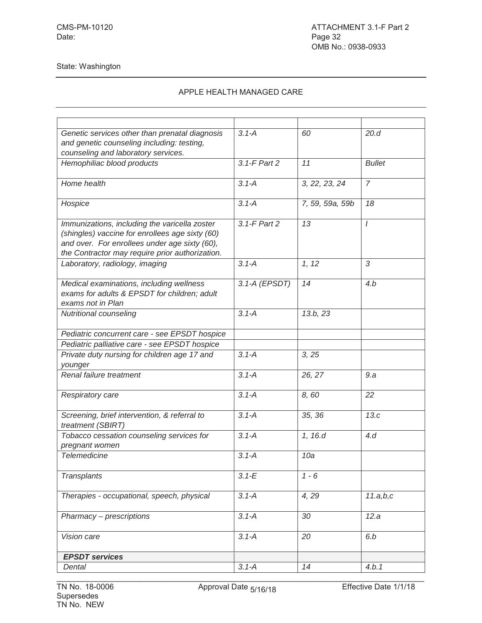| Genetic services other than prenatal diagnosis                                                                                                                                                       | $3.1 - A$     | 60              | 20.d           |
|------------------------------------------------------------------------------------------------------------------------------------------------------------------------------------------------------|---------------|-----------------|----------------|
| and genetic counseling including: testing,                                                                                                                                                           |               |                 |                |
| counseling and laboratory services.                                                                                                                                                                  |               |                 |                |
| Hemophiliac blood products                                                                                                                                                                           | 3.1-F Part 2  | 11              | <b>Bullet</b>  |
| Home health                                                                                                                                                                                          | $3.1 - A$     | 3, 22, 23, 24   | $\overline{7}$ |
| Hospice                                                                                                                                                                                              | $3.1 - A$     | 7, 59, 59a, 59b | 18             |
| Immunizations, including the varicella zoster<br>(shingles) vaccine for enrollees age sixty (60)<br>and over. For enrollees under age sixty (60),<br>the Contractor may require prior authorization. | 3.1-F Part 2  | 13              | $\prime$       |
| Laboratory, radiology, imaging                                                                                                                                                                       | $3.1 - A$     | 1, 12           | 3              |
| Medical examinations, including wellness<br>exams for adults & EPSDT for children; adult<br>exams not in Plan                                                                                        | 3.1-A (EPSDT) | 14              | 4.b            |
| Nutritional counseling                                                                                                                                                                               | $3.1 - A$     | 13.b.23         |                |
| Pediatric concurrent care - see EPSDT hospice                                                                                                                                                        |               |                 |                |
| Pediatric palliative care - see EPSDT hospice                                                                                                                                                        |               |                 |                |
| Private duty nursing for children age 17 and<br>younger                                                                                                                                              | $3.1 - A$     | 3, 25           |                |
| Renal failure treatment                                                                                                                                                                              | $3.1 - A$     | 26, 27          | 9.a            |
| Respiratory care                                                                                                                                                                                     | $3.1 - A$     | 8,60            | 22             |
| Screening, brief intervention, & referral to<br>treatment (SBIRT)                                                                                                                                    | $3.1 - A$     | 35, 36          | 13.c           |
| Tobacco cessation counseling services for                                                                                                                                                            | $3.1 - A$     | 1, 16.d         | 4d             |
| pregnant women<br><b>Telemedicine</b>                                                                                                                                                                | $3.1 - A$     | 10a             |                |
|                                                                                                                                                                                                      |               |                 |                |
| <b>Transplants</b>                                                                                                                                                                                   | $3.1 - E$     | $1 - 6$         |                |
| Therapies - occupational, speech, physical                                                                                                                                                           | $3.1 - A$     | 4,29            | 11.a,b,c       |
| Pharmacy - prescriptions                                                                                                                                                                             | $3.1 - A$     | 30              | 12.a           |
| Vision care                                                                                                                                                                                          | $3.1 - A$     | 20              | 6.b            |
| <b>EPSDT</b> services                                                                                                                                                                                |               |                 |                |
| Dental                                                                                                                                                                                               | $3.1 - A$     | 14              | 4.b.1          |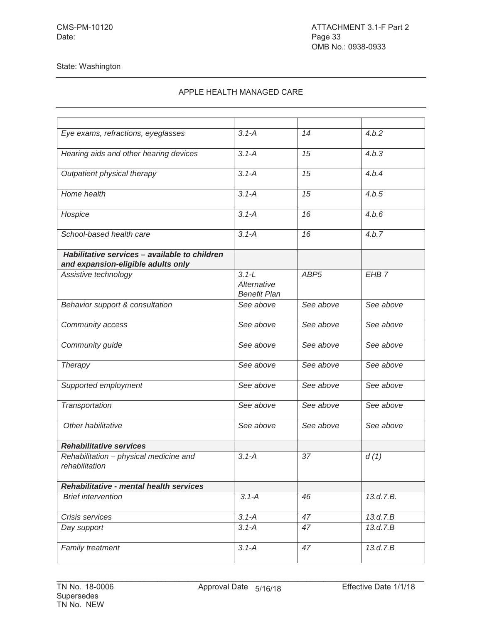| Eye exams, refractions, eyeglasses                                                  | $3.1 - A$                                       | 14               | 4.b.2            |
|-------------------------------------------------------------------------------------|-------------------------------------------------|------------------|------------------|
| Hearing aids and other hearing devices                                              | $3.1 - A$                                       | 15               | 4.b.3            |
| Outpatient physical therapy                                                         | $3.1 - A$                                       | 15               | 4.b.4            |
| Home health                                                                         | $3.1 - A$                                       | 15               | 4.b.5            |
| Hospice                                                                             | $3.1 - A$                                       | 16               | 4.b.6            |
| School-based health care                                                            | $3.1 - A$                                       | 16               | 4.b.7            |
| Habilitative services - available to children<br>and expansion-eligible adults only |                                                 |                  |                  |
| Assistive technology                                                                | $3.1 - L$<br>Alternative<br><b>Benefit Plan</b> | ABP <sub>5</sub> | EHB <sub>7</sub> |
| Behavior support & consultation                                                     | See above                                       | See above        | See above        |
| Community access                                                                    | See above                                       | See above        | See above        |
| Community guide                                                                     | See above                                       | See above        | See above        |
| <b>Therapy</b>                                                                      | See above                                       | See above        | See above        |
| Supported employment                                                                | See above                                       | See above        | See above        |
| Transportation                                                                      | See above                                       | See above        | See above        |
| Other habilitative                                                                  | See above                                       | See above        | See above        |
| <b>Rehabilitative services</b>                                                      |                                                 |                  |                  |
| Rehabilitation - physical medicine and<br>rehabilitation                            | $3.1 - A$                                       | 37               | d(1)             |
| <b>Rehabilitative - mental health services</b>                                      |                                                 |                  |                  |
| <b>Brief intervention</b>                                                           | $3.1 - A$                                       | 46               | 13.d.7.B.        |
| Crisis services                                                                     | $3.1 - A$                                       | 47               | 13.d.7.B         |
| Day support                                                                         | $3.1 - A$                                       | 47               | 13.d.7.B         |
| Family treatment                                                                    | $3.1 - A$                                       | 47               | 13.d.7.B         |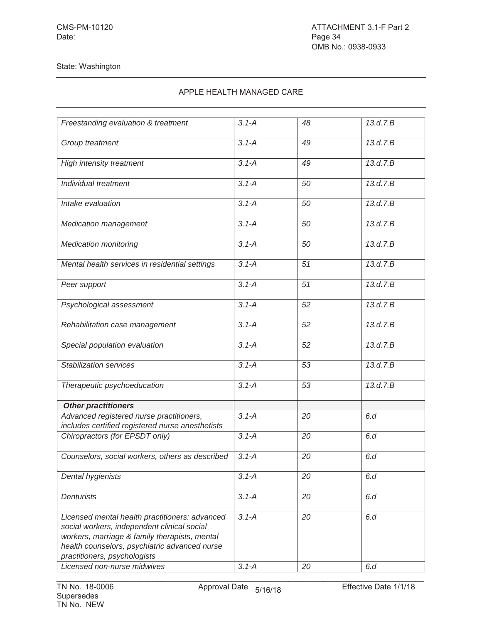| Freestanding evaluation & treatment                                                                                                                                                                                             | $3.1 - A$ | 48 | 13.d.7.B |
|---------------------------------------------------------------------------------------------------------------------------------------------------------------------------------------------------------------------------------|-----------|----|----------|
|                                                                                                                                                                                                                                 |           |    |          |
| Group treatment                                                                                                                                                                                                                 | $3.1 - A$ | 49 | 13.d.7.B |
| High intensity treatment                                                                                                                                                                                                        | $3.1 - A$ | 49 | 13.d.7.B |
| Individual treatment                                                                                                                                                                                                            | $3.1 - A$ | 50 | 13.d.7.B |
| Intake evaluation                                                                                                                                                                                                               | $3.1 - A$ | 50 | 13.d.7.B |
| <b>Medication management</b>                                                                                                                                                                                                    | $3.1 - A$ | 50 | 13.d.7.B |
| <b>Medication monitoring</b>                                                                                                                                                                                                    | $3.1 - A$ | 50 | 13.d.7.B |
| Mental health services in residential settings                                                                                                                                                                                  | $3.1 - A$ | 51 | 13.d.7.B |
| Peer support                                                                                                                                                                                                                    | $3.1 - A$ | 51 | 13.d.7.B |
| Psychological assessment                                                                                                                                                                                                        | $3.1 - A$ | 52 | 13.d.7.B |
| Rehabilitation case management                                                                                                                                                                                                  | $3.1 - A$ | 52 | 13.d.7.B |
| Special population evaluation                                                                                                                                                                                                   | $3.1 - A$ | 52 | 13.d.7.B |
| <b>Stabilization services</b>                                                                                                                                                                                                   | $3.1 - A$ | 53 | 13.d.7.B |
| Therapeutic psychoeducation                                                                                                                                                                                                     | $3.1 - A$ | 53 | 13.d.7.B |
| <b>Other practitioners</b>                                                                                                                                                                                                      |           |    |          |
| Advanced registered nurse practitioners,<br>includes certified registered nurse anesthetists                                                                                                                                    | $3.1 - A$ | 20 | 6.d      |
| Chiropractors (for EPSDT only)                                                                                                                                                                                                  | $3.1 - A$ | 20 | 6.d      |
| Counselors, social workers, others as described                                                                                                                                                                                 | $3.1 - A$ | 20 | 6.d      |
| Dental hygienists                                                                                                                                                                                                               | $3.1 - A$ | 20 | 6.d      |
| <b>Denturists</b>                                                                                                                                                                                                               | $3.1 - A$ | 20 | 6.d      |
| Licensed mental health practitioners: advanced<br>social workers, independent clinical social<br>workers, marriage & family therapists, mental<br>health counselors, psychiatric advanced nurse<br>practitioners, psychologists | $3.1 - A$ | 20 | 6.d      |
| Licensed non-nurse midwives                                                                                                                                                                                                     | $3.1 - A$ | 20 | 6.d      |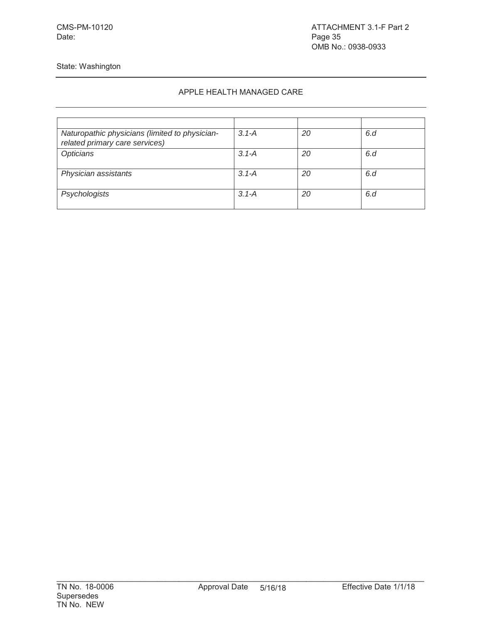Date: Page 35

State: Washington

| Naturopathic physicians (limited to physician-<br>related primary care services) | $3.1 - A$ | 20 | 6.d |
|----------------------------------------------------------------------------------|-----------|----|-----|
| Opticians                                                                        | $3.1 - A$ | 20 | 6.d |
| Physician assistants                                                             | $3.1 - A$ | 20 | 6.d |
| Psychologists                                                                    | $3.1 - A$ | 20 | 6.d |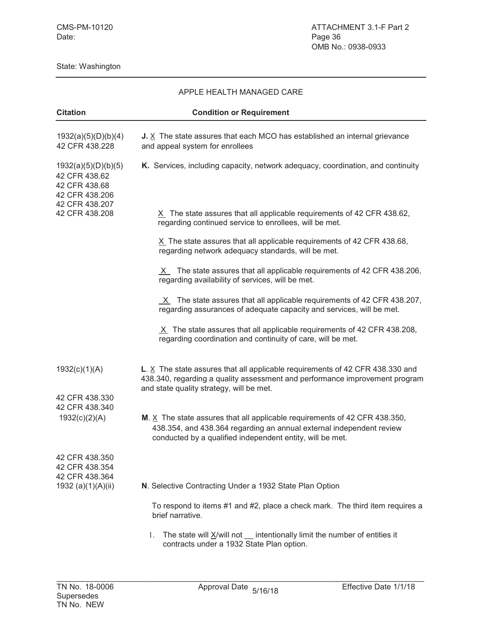| <b>Citation</b>                                                                           | <b>Condition or Requirement</b>                                                                                                                                                                                   |  |
|-------------------------------------------------------------------------------------------|-------------------------------------------------------------------------------------------------------------------------------------------------------------------------------------------------------------------|--|
| 1932(a)(5)(D)(b)(4)<br>42 CFR 438.228                                                     | J. $X$ The state assures that each MCO has established an internal grievance<br>and appeal system for enrollees                                                                                                   |  |
| 1932(a)(5)(D)(b)(5)<br>42 CFR 438.62<br>42 CFR 438.68<br>42 CFR 438.206<br>42 CFR 438.207 | K. Services, including capacity, network adequacy, coordination, and continuity                                                                                                                                   |  |
| 42 CFR 438.208                                                                            | $X$ The state assures that all applicable requirements of 42 CFR 438.62,<br>regarding continued service to enrollees, will be met.                                                                                |  |
|                                                                                           | $X$ The state assures that all applicable requirements of 42 CFR 438.68,<br>regarding network adequacy standards, will be met.                                                                                    |  |
|                                                                                           | X The state assures that all applicable requirements of 42 CFR 438.206,<br>regarding availability of services, will be met.                                                                                       |  |
|                                                                                           | $X$ The state assures that all applicable requirements of 42 CFR 438.207,<br>regarding assurances of adequate capacity and services, will be met.                                                                 |  |
|                                                                                           | $X$ The state assures that all applicable requirements of 42 CFR 438.208,<br>regarding coordination and continuity of care, will be met.                                                                          |  |
| 1932(c)(1)(A)                                                                             | L. $X$ The state assures that all applicable requirements of 42 CFR 438.330 and<br>438.340, regarding a quality assessment and performance improvement program<br>and state quality strategy, will be met.        |  |
| 42 CFR 438.330<br>42 CFR 438.340                                                          |                                                                                                                                                                                                                   |  |
| 1932(c)(2)(A)                                                                             | M. $X$ The state assures that all applicable requirements of 42 CFR 438.350,<br>438.354, and 438.364 regarding an annual external independent review<br>conducted by a qualified independent entity, will be met. |  |
| 42 CFR 438.350<br>42 CFR 438.354<br>42 CFR 438.364                                        |                                                                                                                                                                                                                   |  |
| 1932 (a)(1)(A)(ii)                                                                        | N. Selective Contracting Under a 1932 State Plan Option                                                                                                                                                           |  |
|                                                                                           | To respond to items #1 and #2, place a check mark. The third item requires a<br>brief narrative.                                                                                                                  |  |
|                                                                                           | The state will $X/w$ ill not $\quad$ intentionally limit the number of entities it<br>1.<br>contracts under a 1932 State Plan option.                                                                             |  |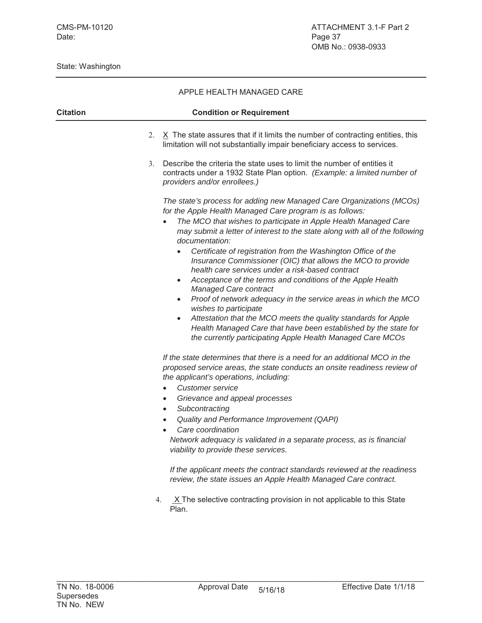|                 | APPLE HEALTH MANAGED CARE                                                                                                                                                                                                                                                                                                                                                                                                                                                                                                                                                                                                                                                                                                                                                                                                                                                                                              |  |  |
|-----------------|------------------------------------------------------------------------------------------------------------------------------------------------------------------------------------------------------------------------------------------------------------------------------------------------------------------------------------------------------------------------------------------------------------------------------------------------------------------------------------------------------------------------------------------------------------------------------------------------------------------------------------------------------------------------------------------------------------------------------------------------------------------------------------------------------------------------------------------------------------------------------------------------------------------------|--|--|
| <b>Citation</b> | <b>Condition or Requirement</b>                                                                                                                                                                                                                                                                                                                                                                                                                                                                                                                                                                                                                                                                                                                                                                                                                                                                                        |  |  |
|                 | $X$ The state assures that if it limits the number of contracting entities, this<br>2.<br>limitation will not substantially impair beneficiary access to services.                                                                                                                                                                                                                                                                                                                                                                                                                                                                                                                                                                                                                                                                                                                                                     |  |  |
|                 | Describe the criteria the state uses to limit the number of entities it<br>3.<br>contracts under a 1932 State Plan option. (Example: a limited number of<br>providers and/or enrollees.)                                                                                                                                                                                                                                                                                                                                                                                                                                                                                                                                                                                                                                                                                                                               |  |  |
|                 | The state's process for adding new Managed Care Organizations (MCOs)<br>for the Apple Health Managed Care program is as follows:<br>The MCO that wishes to participate in Apple Health Managed Care<br>$\bullet$<br>may submit a letter of interest to the state along with all of the following<br>documentation:<br>Certificate of registration from the Washington Office of the<br>Insurance Commissioner (OIC) that allows the MCO to provide<br>health care services under a risk-based contract<br>Acceptance of the terms and conditions of the Apple Health<br>Managed Care contract<br>Proof of network adequacy in the service areas in which the MCO<br>$\bullet$<br>wishes to participate<br>Attestation that the MCO meets the quality standards for Apple<br>$\bullet$<br>Health Managed Care that have been established by the state for<br>the currently participating Apple Health Managed Care MCOs |  |  |
|                 | If the state determines that there is a need for an additional MCO in the<br>proposed service areas, the state conducts an onsite readiness review of<br>the applicant's operations, including:<br><b>Customer service</b><br>Grievance and appeal processes<br>$\bullet$<br>Subcontracting<br>$\bullet$<br>Quality and Performance Improvement (QAPI)<br>Care coordination<br>Network adequacy is validated in a separate process, as is financial<br>viability to provide these services.<br>If the applicant meets the contract standards reviewed at the readiness<br>review, the state issues an Apple Health Managed Care contract.                                                                                                                                                                                                                                                                              |  |  |
|                 | $X$ The selective contracting provision in not applicable to this State<br>4.<br>Plan.                                                                                                                                                                                                                                                                                                                                                                                                                                                                                                                                                                                                                                                                                                                                                                                                                                 |  |  |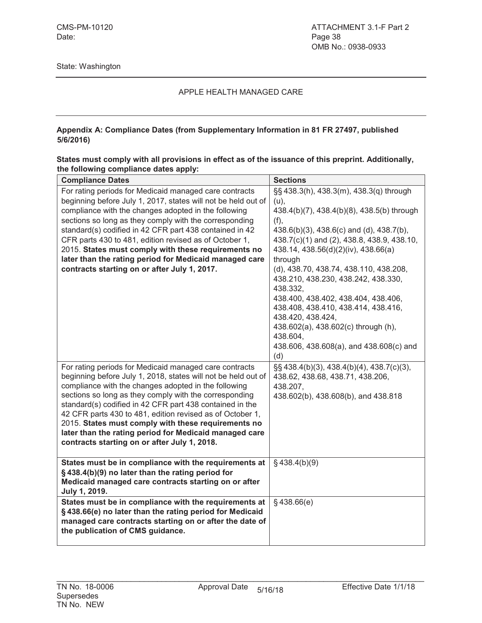#### **Appendix A: Compliance Dates (from Supplementary Information in 81 FR 27497, published 5/6/2016)**

| States must comply with all provisions in effect as of the issuance of this preprint. Additionally, |  |
|-----------------------------------------------------------------------------------------------------|--|
| the following compliance dates apply:                                                               |  |

| <b>Compliance Dates</b>                                               | <b>Sections</b>                                 |
|-----------------------------------------------------------------------|-------------------------------------------------|
| For rating periods for Medicaid managed care contracts                | §§ 438.3(h), 438.3(m), 438.3(q) through         |
| beginning before July 1, 2017, states will not be held out of         | (u),                                            |
| compliance with the changes adopted in the following                  | 438.4(b)(7), 438.4(b)(8), 438.5(b) through      |
| sections so long as they comply with the corresponding                | (f),                                            |
| standard(s) codified in 42 CFR part 438 contained in 42               | 438.6(b)(3), 438.6(c) and (d), 438.7(b),        |
| CFR parts 430 to 481, edition revised as of October 1,                | 438.7(c)(1) and (2), 438.8, 438.9, 438.10,      |
| 2015. States must comply with these requirements no                   | 438.14, 438.56(d)(2)(iv), 438.66(a)             |
| later than the rating period for Medicaid managed care                | through                                         |
| contracts starting on or after July 1, 2017.                          | (d), 438.70, 438.74, 438.110, 438.208,          |
|                                                                       | 438.210, 438.230, 438.242, 438.330,             |
|                                                                       | 438.332,                                        |
|                                                                       | 438.400, 438.402, 438.404, 438.406,             |
|                                                                       | 438.408, 438.410, 438.414, 438.416,             |
|                                                                       | 438.420, 438.424,                               |
|                                                                       | 438.602(a), 438.602(c) through (h),<br>438.604, |
|                                                                       | 438.606, 438.608(a), and 438.608(c) and         |
|                                                                       | (d)                                             |
| For rating periods for Medicaid managed care contracts                | §§ 438.4(b)(3), 438.4(b)(4), 438.7(c)(3),       |
| beginning before July 1, 2018, states will not be held out of         | 438.62, 438.68, 438.71, 438.206,                |
| compliance with the changes adopted in the following                  | 438.207,                                        |
| sections so long as they comply with the corresponding                | 438.602(b), 438.608(b), and 438.818             |
| standard(s) codified in 42 CFR part 438 contained in the              |                                                 |
| 42 CFR parts 430 to 481, edition revised as of October 1,             |                                                 |
| 2015. States must comply with these requirements no                   |                                                 |
| later than the rating period for Medicaid managed care                |                                                 |
| contracts starting on or after July 1, 2018.                          |                                                 |
|                                                                       |                                                 |
| States must be in compliance with the requirements at                 | $§$ 438.4(b)(9)                                 |
| §438.4(b)(9) no later than the rating period for                      |                                                 |
| Medicaid managed care contracts starting on or after<br>July 1, 2019. |                                                 |
| States must be in compliance with the requirements at                 | $§$ 438.66(e)                                   |
| §438.66(e) no later than the rating period for Medicaid               |                                                 |
| managed care contracts starting on or after the date of               |                                                 |
| the publication of CMS guidance.                                      |                                                 |
|                                                                       |                                                 |